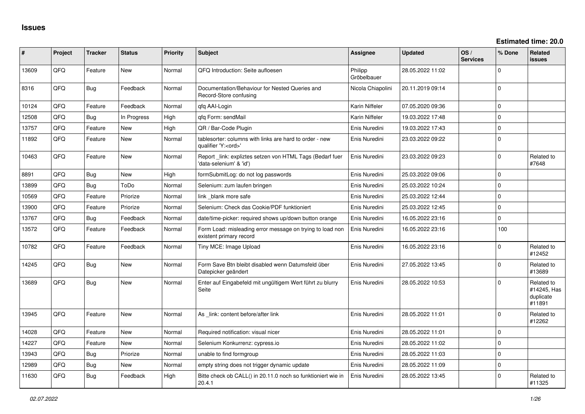| #     | Project | <b>Tracker</b> | <b>Status</b> | <b>Priority</b> | <b>Subject</b>                                                                        | Assignee               | <b>Updated</b>   | OS/<br><b>Services</b> | % Done      | Related<br><b>issues</b>                         |
|-------|---------|----------------|---------------|-----------------|---------------------------------------------------------------------------------------|------------------------|------------------|------------------------|-------------|--------------------------------------------------|
| 13609 | QFQ     | Feature        | New           | Normal          | QFQ Introduction: Seite aufloesen                                                     | Philipp<br>Gröbelbauer | 28.05.2022 11:02 |                        | $\Omega$    |                                                  |
| 8316  | QFQ     | Bug            | Feedback      | Normal          | Documentation/Behaviour for Nested Queries and<br>Record-Store confusing              | Nicola Chiapolini      | 20.11.2019 09:14 |                        | $\Omega$    |                                                  |
| 10124 | QFQ     | Feature        | Feedback      | Normal          | gfg AAI-Login                                                                         | Karin Niffeler         | 07.05.2020 09:36 |                        | $\Omega$    |                                                  |
| 12508 | QFQ     | Bug            | In Progress   | High            | gfg Form: sendMail                                                                    | Karin Niffeler         | 19.03.2022 17:48 |                        | $\Omega$    |                                                  |
| 13757 | QFQ     | Feature        | <b>New</b>    | High            | QR / Bar-Code Plugin                                                                  | Enis Nuredini          | 19.03.2022 17:43 |                        | $\Omega$    |                                                  |
| 11892 | QFQ     | Feature        | New           | Normal          | tablesorter: columns with links are hard to order - new<br>qualifier 'Y: <ord>'</ord> | Enis Nuredini          | 23.03.2022 09:22 |                        | $\mathbf 0$ |                                                  |
| 10463 | QFQ     | Feature        | New           | Normal          | Report link: expliztes setzen von HTML Tags (Bedarf fuer<br>'data-selenium' & 'id')   | Enis Nuredini          | 23.03.2022 09:23 |                        | $\Omega$    | Related to<br>#7648                              |
| 8891  | QFQ     | <b>Bug</b>     | New           | High            | formSubmitLog: do not log passwords                                                   | Enis Nuredini          | 25.03.2022 09:06 |                        | $\Omega$    |                                                  |
| 13899 | QFQ     | Bug            | ToDo          | Normal          | Selenium: zum laufen bringen                                                          | Enis Nuredini          | 25.03.2022 10:24 |                        | $\Omega$    |                                                  |
| 10569 | QFQ     | Feature        | Priorize      | Normal          | link blank more safe                                                                  | Enis Nuredini          | 25.03.2022 12:44 |                        | $\Omega$    |                                                  |
| 13900 | QFQ     | Feature        | Priorize      | Normal          | Selenium: Check das Cookie/PDF funktioniert                                           | Enis Nuredini          | 25.03.2022 12:45 |                        | $\mathbf 0$ |                                                  |
| 13767 | QFQ     | Bug            | Feedback      | Normal          | date/time-picker: required shows up/down button orange                                | Enis Nuredini          | 16.05.2022 23:16 |                        | $\Omega$    |                                                  |
| 13572 | QFQ     | Feature        | Feedback      | Normal          | Form Load: misleading error message on trying to load non<br>existent primary record  | Enis Nuredini          | 16.05.2022 23:16 |                        | 100         |                                                  |
| 10782 | QFQ     | Feature        | Feedback      | Normal          | Tiny MCE: Image Upload                                                                | Enis Nuredini          | 16.05.2022 23:16 |                        | $\Omega$    | Related to<br>#12452                             |
| 14245 | QFQ     | Bug            | New           | Normal          | Form Save Btn bleibt disabled wenn Datumsfeld über<br>Datepicker geändert             | Enis Nuredini          | 27.05.2022 13:45 |                        | $\Omega$    | Related to<br>#13689                             |
| 13689 | QFQ     | Bug            | New           | Normal          | Enter auf Eingabefeld mit ungültigem Wert führt zu blurry<br>Seite                    | Enis Nuredini          | 28.05.2022 10:53 |                        | $\Omega$    | Related to<br>#14245, Has<br>duplicate<br>#11891 |
| 13945 | QFQ     | Feature        | New           | Normal          | As _link: content before/after link                                                   | Enis Nuredini          | 28.05.2022 11:01 |                        | $\Omega$    | Related to<br>#12262                             |
| 14028 | QFQ     | Feature        | <b>New</b>    | Normal          | Required notification: visual nicer                                                   | Enis Nuredini          | 28.05.2022 11:01 |                        | $\Omega$    |                                                  |
| 14227 | QFQ     | Feature        | New           | Normal          | Selenium Konkurrenz: cypress.io                                                       | Enis Nuredini          | 28.05.2022 11:02 |                        | $\mathbf 0$ |                                                  |
| 13943 | QFQ     | Bug            | Priorize      | Normal          | unable to find formgroup                                                              | Enis Nuredini          | 28.05.2022 11:03 |                        | $\Omega$    |                                                  |
| 12989 | QFQ     | Bug            | New           | Normal          | empty string does not trigger dynamic update                                          | Enis Nuredini          | 28.05.2022 11:09 |                        | $\Omega$    |                                                  |
| 11630 | QFQ     | <b>Bug</b>     | Feedback      | High            | Bitte check ob CALL() in 20.11.0 noch so funktioniert wie in<br>20.4.1                | Enis Nuredini          | 28.05.2022 13:45 |                        | $\Omega$    | Related to<br>#11325                             |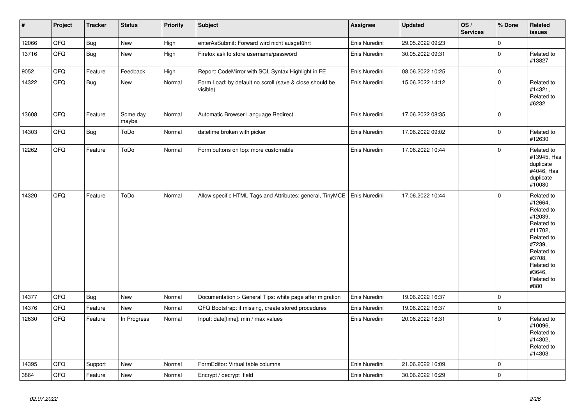| $\vert$ # | Project | <b>Tracker</b> | <b>Status</b>     | <b>Priority</b> | <b>Subject</b>                                                      | Assignee      | <b>Updated</b>   | OS/<br><b>Services</b> | % Done      | Related<br>issues                                                                                                                                                     |
|-----------|---------|----------------|-------------------|-----------------|---------------------------------------------------------------------|---------------|------------------|------------------------|-------------|-----------------------------------------------------------------------------------------------------------------------------------------------------------------------|
| 12066     | QFQ     | <b>Bug</b>     | New               | High            | enterAsSubmit: Forward wird nicht ausgeführt                        | Enis Nuredini | 29.05.2022 09:23 |                        | $\pmb{0}$   |                                                                                                                                                                       |
| 13716     | QFQ     | Bug            | New               | High            | Firefox ask to store username/password                              | Enis Nuredini | 30.05.2022 09:31 |                        | $\pmb{0}$   | Related to<br>#13827                                                                                                                                                  |
| 9052      | QFQ     | Feature        | Feedback          | High            | Report: CodeMirror with SQL Syntax Highlight in FE                  | Enis Nuredini | 08.06.2022 10:25 |                        | $\pmb{0}$   |                                                                                                                                                                       |
| 14322     | QFQ     | Bug            | New               | Normal          | Form Load: by default no scroll (save & close should be<br>visible) | Enis Nuredini | 15.06.2022 14:12 |                        | $\pmb{0}$   | Related to<br>#14321,<br>Related to<br>#6232                                                                                                                          |
| 13608     | QFQ     | Feature        | Some day<br>maybe | Normal          | Automatic Browser Language Redirect                                 | Enis Nuredini | 17.06.2022 08:35 |                        | $\mathbf 0$ |                                                                                                                                                                       |
| 14303     | QFQ     | Bug            | ToDo              | Normal          | datetime broken with picker                                         | Enis Nuredini | 17.06.2022 09:02 |                        | $\pmb{0}$   | Related to<br>#12630                                                                                                                                                  |
| 12262     | QFQ     | Feature        | ToDo              | Normal          | Form buttons on top: more customable                                | Enis Nuredini | 17.06.2022 10:44 |                        | $\pmb{0}$   | Related to<br>#13945, Has<br>duplicate<br>#4046, Has<br>duplicate<br>#10080                                                                                           |
| 14320     | QFQ     | Feature        | ToDo              | Normal          | Allow specific HTML Tags and Attributes: general, TinyMCE           | Enis Nuredini | 17.06.2022 10:44 |                        | $\mathbf 0$ | Related to<br>#12664,<br>Related to<br>#12039,<br>Related to<br>#11702.<br>Related to<br>#7239,<br>Related to<br>#3708,<br>Related to<br>#3646,<br>Related to<br>#880 |
| 14377     | QFQ     | Bug            | New               | Normal          | Documentation > General Tips: white page after migration            | Enis Nuredini | 19.06.2022 16:37 |                        | $\pmb{0}$   |                                                                                                                                                                       |
| 14376     | QFQ     | Feature        | New               | Normal          | QFQ Bootstrap: if missing, create stored procedures                 | Enis Nuredini | 19.06.2022 16:37 |                        | $\mathsf 0$ |                                                                                                                                                                       |
| 12630     | QFQ     | Feature        | In Progress       | Normal          | Input: date[time]: min / max values                                 | Enis Nuredini | 20.06.2022 18:31 |                        | $\mathbf 0$ | Related to<br>#10096,<br>Related to<br>#14302,<br>Related to<br>#14303                                                                                                |
| 14395     | QFQ     | Support        | <b>New</b>        | Normal          | FormEditor: Virtual table columns                                   | Enis Nuredini | 21.06.2022 16:09 |                        | $\mathsf 0$ |                                                                                                                                                                       |
| 3864      | QFQ     | Feature        | New               | Normal          | Encrypt / decrypt field                                             | Enis Nuredini | 30.06.2022 16:29 |                        | $\mathbf 0$ |                                                                                                                                                                       |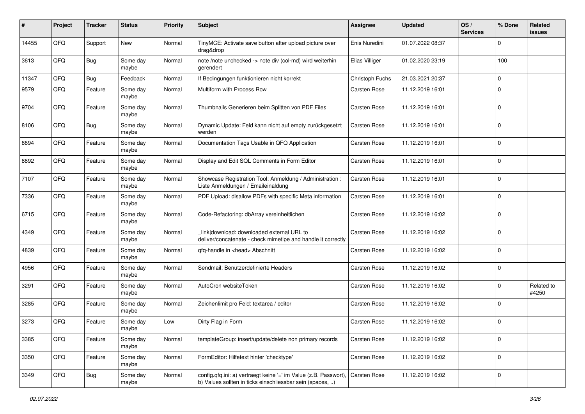| #     | Project | <b>Tracker</b> | <b>Status</b>     | <b>Priority</b> | <b>Subject</b>                                                                                                                | <b>Assignee</b> | <b>Updated</b>   | OS/<br><b>Services</b> | % Done      | Related<br><b>issues</b> |
|-------|---------|----------------|-------------------|-----------------|-------------------------------------------------------------------------------------------------------------------------------|-----------------|------------------|------------------------|-------------|--------------------------|
| 14455 | QFQ     | Support        | <b>New</b>        | Normal          | TinyMCE: Activate save button after upload picture over<br>drag&drop                                                          | Enis Nuredini   | 01.07.2022 08:37 |                        | $\mathbf 0$ |                          |
| 3613  | QFQ     | <b>Bug</b>     | Some day<br>maybe | Normal          | note /note unchecked -> note div (col-md) wird weiterhin<br>gerendert                                                         | Elias Villiger  | 01.02.2020 23:19 |                        | 100         |                          |
| 11347 | QFQ     | <b>Bug</b>     | Feedback          | Normal          | If Bedingungen funktionieren nicht korrekt                                                                                    | Christoph Fuchs | 21.03.2021 20:37 |                        | $\mathbf 0$ |                          |
| 9579  | QFQ     | Feature        | Some day<br>maybe | Normal          | Multiform with Process Row                                                                                                    | Carsten Rose    | 11.12.2019 16:01 |                        | $\mathbf 0$ |                          |
| 9704  | QFQ     | Feature        | Some day<br>maybe | Normal          | Thumbnails Generieren beim Splitten von PDF Files                                                                             | Carsten Rose    | 11.12.2019 16:01 |                        | $\mathbf 0$ |                          |
| 8106  | QFQ     | <b>Bug</b>     | Some day<br>maybe | Normal          | Dynamic Update: Feld kann nicht auf empty zurückgesetzt<br>werden                                                             | Carsten Rose    | 11.12.2019 16:01 |                        | $\mathbf 0$ |                          |
| 8894  | QFQ     | Feature        | Some day<br>maybe | Normal          | Documentation Tags Usable in QFQ Application                                                                                  | Carsten Rose    | 11.12.2019 16:01 |                        | $\mathbf 0$ |                          |
| 8892  | QFQ     | Feature        | Some day<br>maybe | Normal          | Display and Edit SQL Comments in Form Editor                                                                                  | Carsten Rose    | 11.12.2019 16:01 |                        | $\mathbf 0$ |                          |
| 7107  | QFQ     | Feature        | Some day<br>maybe | Normal          | Showcase Registration Tool: Anmeldung / Administration :<br>Liste Anmeldungen / Emaileinaldung                                | Carsten Rose    | 11.12.2019 16:01 |                        | $\mathbf 0$ |                          |
| 7336  | QFQ     | Feature        | Some day<br>maybe | Normal          | PDF Upload: disallow PDFs with specific Meta information                                                                      | Carsten Rose    | 11.12.2019 16:01 |                        | $\mathbf 0$ |                          |
| 6715  | QFQ     | Feature        | Some day<br>maybe | Normal          | Code-Refactoring: dbArray vereinheitlichen                                                                                    | Carsten Rose    | 11.12.2019 16:02 |                        | $\mathbf 0$ |                          |
| 4349  | QFQ     | Feature        | Some day<br>maybe | Normal          | link download: downloaded external URL to<br>deliver/concatenate - check mimetipe and handle it correctly                     | Carsten Rose    | 11.12.2019 16:02 |                        | $\mathbf 0$ |                          |
| 4839  | QFQ     | Feature        | Some day<br>maybe | Normal          | qfq-handle in <head> Abschnitt</head>                                                                                         | Carsten Rose    | 11.12.2019 16:02 |                        | $\mathbf 0$ |                          |
| 4956  | QFQ     | Feature        | Some day<br>maybe | Normal          | Sendmail: Benutzerdefinierte Headers                                                                                          | Carsten Rose    | 11.12.2019 16:02 |                        | $\mathbf 0$ |                          |
| 3291  | QFQ     | Feature        | Some day<br>maybe | Normal          | AutoCron websiteToken                                                                                                         | Carsten Rose    | 11.12.2019 16:02 |                        | $\mathbf 0$ | Related to<br>#4250      |
| 3285  | QFQ     | Feature        | Some day<br>maybe | Normal          | Zeichenlimit pro Feld: textarea / editor                                                                                      | Carsten Rose    | 11.12.2019 16:02 |                        | $\mathbf 0$ |                          |
| 3273  | QFQ     | Feature        | Some day<br>maybe | Low             | Dirty Flag in Form                                                                                                            | Carsten Rose    | 11.12.2019 16:02 |                        | $\mathbf 0$ |                          |
| 3385  | QFQ     | Feature        | Some day<br>maybe | Normal          | templateGroup: insert/update/delete non primary records                                                                       | Carsten Rose    | 11.12.2019 16:02 |                        | $\mathbf 0$ |                          |
| 3350  | QFQ     | Feature        | Some day<br>maybe | Normal          | FormEditor: Hilfetext hinter 'checktype'                                                                                      | Carsten Rose    | 11.12.2019 16:02 |                        | $\mathbf 0$ |                          |
| 3349  | QFQ     | Bug            | Some day<br>maybe | Normal          | config.qfq.ini: a) vertraegt keine '=' im Value (z.B. Passwort),<br>b) Values sollten in ticks einschliessbar sein (spaces, ) | Carsten Rose    | 11.12.2019 16:02 |                        | $\mathbf 0$ |                          |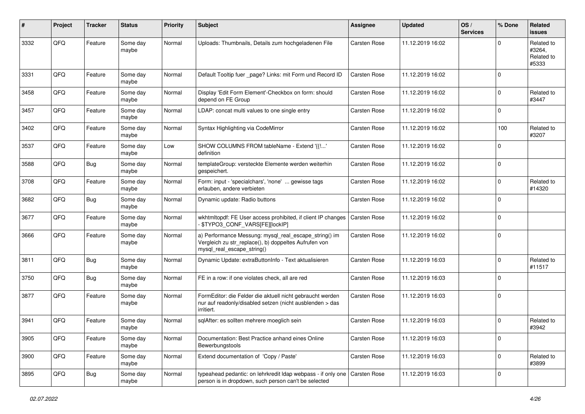| ∦    | Project | <b>Tracker</b> | <b>Status</b>     | <b>Priority</b> | <b>Subject</b>                                                                                                                               | Assignee            | <b>Updated</b>   | OS/<br><b>Services</b> | % Done      | Related<br><b>issues</b>                    |
|------|---------|----------------|-------------------|-----------------|----------------------------------------------------------------------------------------------------------------------------------------------|---------------------|------------------|------------------------|-------------|---------------------------------------------|
| 3332 | QFQ     | Feature        | Some day<br>maybe | Normal          | Uploads: Thumbnails, Details zum hochgeladenen File                                                                                          | Carsten Rose        | 11.12.2019 16:02 |                        | $\Omega$    | Related to<br>#3264,<br>Related to<br>#5333 |
| 3331 | QFQ     | Feature        | Some day<br>maybe | Normal          | Default Tooltip fuer _page? Links: mit Form und Record ID                                                                                    | Carsten Rose        | 11.12.2019 16:02 |                        | $\Omega$    |                                             |
| 3458 | QFQ     | Feature        | Some day<br>maybe | Normal          | Display 'Edit Form Element'-Checkbox on form: should<br>depend on FE Group                                                                   | Carsten Rose        | 11.12.2019 16:02 |                        | $\mathbf 0$ | Related to<br>#3447                         |
| 3457 | QFQ     | Feature        | Some day<br>maybe | Normal          | LDAP: concat multi values to one single entry                                                                                                | Carsten Rose        | 11.12.2019 16:02 |                        | $\mathbf 0$ |                                             |
| 3402 | QFQ     | Feature        | Some day<br>maybe | Normal          | Syntax Highlighting via CodeMirror                                                                                                           | Carsten Rose        | 11.12.2019 16:02 |                        | 100         | Related to<br>#3207                         |
| 3537 | QFQ     | Feature        | Some day<br>maybe | Low             | SHOW COLUMNS FROM tableName - Extend '{{!'<br>definition                                                                                     | Carsten Rose        | 11.12.2019 16:02 |                        | $\mathbf 0$ |                                             |
| 3588 | QFQ     | Bug            | Some day<br>maybe | Normal          | templateGroup: versteckte Elemente werden weiterhin<br>gespeichert.                                                                          | Carsten Rose        | 11.12.2019 16:02 |                        | $\mathbf 0$ |                                             |
| 3708 | QFQ     | Feature        | Some day<br>maybe | Normal          | Form: input - 'specialchars', 'none'  gewisse tags<br>erlauben, andere verbieten                                                             | Carsten Rose        | 11.12.2019 16:02 |                        | $\mathbf 0$ | Related to<br>#14320                        |
| 3682 | QFQ     | <b>Bug</b>     | Some day<br>maybe | Normal          | Dynamic update: Radio buttons                                                                                                                | Carsten Rose        | 11.12.2019 16:02 |                        | $\Omega$    |                                             |
| 3677 | QFQ     | Feature        | Some day<br>maybe | Normal          | wkhtmltopdf: FE User access prohibited, if client IP changes<br>\$TYPO3_CONF_VARS[FE][lockIP]                                                | <b>Carsten Rose</b> | 11.12.2019 16:02 |                        | $\mathbf 0$ |                                             |
| 3666 | QFQ     | Feature        | Some day<br>maybe | Normal          | a) Performance Messung: mysql_real_escape_string() im<br>Vergleich zu str_replace(), b) doppeltes Aufrufen von<br>mysql_real_escape_string() | Carsten Rose        | 11.12.2019 16:02 |                        | $\mathbf 0$ |                                             |
| 3811 | QFQ     | <b>Bug</b>     | Some day<br>maybe | Normal          | Dynamic Update: extraButtonInfo - Text aktualisieren                                                                                         | Carsten Rose        | 11.12.2019 16:03 |                        | $\Omega$    | Related to<br>#11517                        |
| 3750 | QFQ     | <b>Bug</b>     | Some day<br>maybe | Normal          | FE in a row: if one violates check, all are red                                                                                              | Carsten Rose        | 11.12.2019 16:03 |                        | $\mathbf 0$ |                                             |
| 3877 | QFQ     | Feature        | Some day<br>maybe | Normal          | FormEditor: die Felder die aktuell nicht gebraucht werden<br>nur auf readonly/disabled setzen (nicht ausblenden > das<br>irritiert.          | Carsten Rose        | 11.12.2019 16:03 |                        | $\mathbf 0$ |                                             |
| 3941 | QFQ     | Feature        | Some day<br>maybe | Normal          | sqlAfter: es sollten mehrere moeglich sein                                                                                                   | Carsten Rose        | 11.12.2019 16:03 |                        | $\Omega$    | Related to<br>#3942                         |
| 3905 | QFQ     | Feature        | Some day<br>maybe | Normal          | Documentation: Best Practice anhand eines Online<br>Bewerbungstools                                                                          | Carsten Rose        | 11.12.2019 16:03 |                        | $\mathbf 0$ |                                             |
| 3900 | QFO     | Feature        | Some day<br>maybe | Normal          | Extend documentation of 'Copy / Paste'                                                                                                       | Carsten Rose        | 11.12.2019 16:03 |                        | $\mathbf 0$ | Related to<br>#3899                         |
| 3895 | QFQ     | <b>Bug</b>     | Some day<br>maybe | Normal          | typeahead pedantic: on lehrkredit Idap webpass - if only one<br>person is in dropdown, such person can't be selected                         | Carsten Rose        | 11.12.2019 16:03 |                        | $\mathbf 0$ |                                             |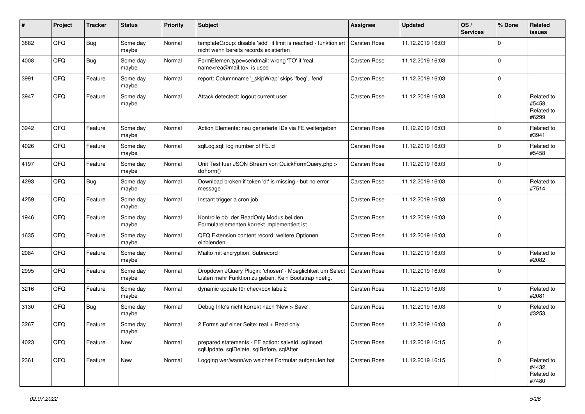| #    | Project | <b>Tracker</b> | <b>Status</b>     | <b>Priority</b> | <b>Subject</b>                                                                                                     | Assignee            | <b>Updated</b>   | OS/<br><b>Services</b> | % Done      | Related<br>issues                           |
|------|---------|----------------|-------------------|-----------------|--------------------------------------------------------------------------------------------------------------------|---------------------|------------------|------------------------|-------------|---------------------------------------------|
| 3882 | QFQ     | Bug            | Some day<br>maybe | Normal          | templateGroup: disable 'add' if limit is reached - funktioniert<br>nicht wenn bereits records existierten          | <b>Carsten Rose</b> | 11.12.2019 16:03 |                        | $\Omega$    |                                             |
| 4008 | QFQ     | <b>Bug</b>     | Some day<br>maybe | Normal          | FormElemen.type=sendmail: wrong 'TO' if 'real<br>name <rea@mail.to>' is used</rea@mail.to>                         | Carsten Rose        | 11.12.2019 16:03 |                        | $\Omega$    |                                             |
| 3991 | QFQ     | Feature        | Some day<br>maybe | Normal          | report: Columnname '_skipWrap' skips 'fbeg', 'fend'                                                                | Carsten Rose        | 11.12.2019 16:03 |                        | $\Omega$    |                                             |
| 3947 | QFQ     | Feature        | Some day<br>maybe | Normal          | Attack detectect: logout current user                                                                              | Carsten Rose        | 11.12.2019 16:03 |                        | $\mathbf 0$ | Related to<br>#5458.<br>Related to<br>#6299 |
| 3942 | QFQ     | Feature        | Some day<br>maybe | Normal          | Action Elemente: neu generierte IDs via FE weitergeben                                                             | Carsten Rose        | 11.12.2019 16:03 |                        | $\Omega$    | Related to<br>#3941                         |
| 4026 | QFQ     | Feature        | Some day<br>maybe | Normal          | sqlLog.sql: log number of FE.id                                                                                    | Carsten Rose        | 11.12.2019 16:03 |                        | $\mathbf 0$ | Related to<br>#5458                         |
| 4197 | QFQ     | Feature        | Some day<br>maybe | Normal          | Unit Test fuer JSON Stream von QuickFormQuery.php ><br>doForm()                                                    | Carsten Rose        | 11.12.2019 16:03 |                        | $\Omega$    |                                             |
| 4293 | QFQ     | <b>Bug</b>     | Some day<br>maybe | Normal          | Download broken if token 'd:' is missing - but no error<br>message                                                 | Carsten Rose        | 11.12.2019 16:03 |                        | $\Omega$    | Related to<br>#7514                         |
| 4259 | QFQ     | Feature        | Some day<br>maybe | Normal          | Instant trigger a cron job                                                                                         | Carsten Rose        | 11.12.2019 16:03 |                        | $\Omega$    |                                             |
| 1946 | QFQ     | Feature        | Some day<br>maybe | Normal          | Kontrolle ob der ReadOnly Modus bei den<br>Formularelementen korrekt implementiert ist                             | Carsten Rose        | 11.12.2019 16:03 |                        | $\mathbf 0$ |                                             |
| 1635 | QFQ     | Feature        | Some day<br>maybe | Normal          | QFQ Extension content record: weitere Optionen<br>einblenden.                                                      | Carsten Rose        | 11.12.2019 16:03 |                        | $\mathbf 0$ |                                             |
| 2084 | QFQ     | Feature        | Some day<br>maybe | Normal          | Mailto mit encryption: Subrecord                                                                                   | Carsten Rose        | 11.12.2019 16:03 |                        | $\Omega$    | Related to<br>#2082                         |
| 2995 | QFQ     | Feature        | Some day<br>maybe | Normal          | Dropdown JQuery Plugin: 'chosen' - Moeglichkeit um Select<br>Listen mehr Funktion zu geben. Kein Bootstrap noetig. | Carsten Rose        | 11.12.2019 16:03 |                        | $\Omega$    |                                             |
| 3216 | QFQ     | Feature        | Some day<br>maybe | Normal          | dynamic update für checkbox label2                                                                                 | Carsten Rose        | 11.12.2019 16:03 |                        | $\Omega$    | Related to<br>#2081                         |
| 3130 | QFQ     | Bug            | Some day<br>maybe | Normal          | Debug Info's nicht korrekt nach 'New > Save'.                                                                      | Carsten Rose        | 11.12.2019 16:03 |                        | $\Omega$    | Related to<br>#3253                         |
| 3267 | QFQ     | Feature        | Some day<br>maybe | Normal          | 2 Forms auf einer Seite: real + Read only                                                                          | Carsten Rose        | 11.12.2019 16:03 |                        | $\Omega$    |                                             |
| 4023 | QFQ     | Feature        | New               | Normal          | prepared statements - FE action: salveld, sqlInsert,<br>sqlUpdate, sqlDelete, sqlBefore, sqlAfter                  | Carsten Rose        | 11.12.2019 16:15 |                        | $\mathbf 0$ |                                             |
| 2361 | QFO     | Feature        | New               | Normal          | Logging wer/wann/wo welches Formular aufgerufen hat                                                                | Carsten Rose        | 11.12.2019 16:15 |                        | $\mathbf 0$ | Related to<br>#4432,<br>Related to<br>#7480 |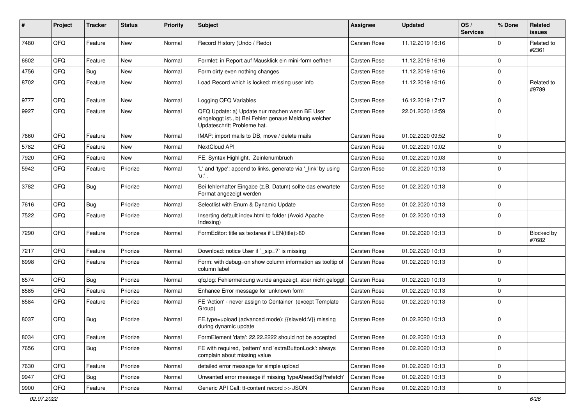| ∦    | Project | <b>Tracker</b> | <b>Status</b> | <b>Priority</b> | Subject                                                                                                                               | Assignee     | <b>Updated</b>   | OS/<br><b>Services</b> | % Done      | Related<br><b>issues</b> |
|------|---------|----------------|---------------|-----------------|---------------------------------------------------------------------------------------------------------------------------------------|--------------|------------------|------------------------|-------------|--------------------------|
| 7480 | QFQ     | Feature        | <b>New</b>    | Normal          | Record History (Undo / Redo)                                                                                                          | Carsten Rose | 11.12.2019 16:16 |                        | $\mathbf 0$ | Related to<br>#2361      |
| 6602 | QFQ     | Feature        | New           | Normal          | Formlet: in Report auf Mausklick ein mini-form oeffnen                                                                                | Carsten Rose | 11.12.2019 16:16 |                        | $\mathbf 0$ |                          |
| 4756 | QFQ     | Bug            | New           | Normal          | Form dirty even nothing changes                                                                                                       | Carsten Rose | 11.12.2019 16:16 |                        | $\mathbf 0$ |                          |
| 8702 | QFQ     | Feature        | New           | Normal          | Load Record which is locked: missing user info                                                                                        | Carsten Rose | 11.12.2019 16:16 |                        | $\mathbf 0$ | Related to<br>#9789      |
| 9777 | QFQ     | Feature        | New           | Normal          | Logging QFQ Variables                                                                                                                 | Carsten Rose | 16.12.2019 17:17 |                        | $\mathbf 0$ |                          |
| 9927 | QFQ     | Feature        | New           | Normal          | QFQ Update: a) Update nur machen wenn BE User<br>eingeloggt ist., b) Bei Fehler genaue Meldung welcher<br>Updateschritt Probleme hat. | Carsten Rose | 22.01.2020 12:59 |                        | $\mathbf 0$ |                          |
| 7660 | QFQ     | Feature        | New           | Normal          | IMAP: import mails to DB, move / delete mails                                                                                         | Carsten Rose | 01.02.2020 09:52 |                        | $\mathbf 0$ |                          |
| 5782 | QFQ     | Feature        | New           | Normal          | NextCloud API                                                                                                                         | Carsten Rose | 01.02.2020 10:02 |                        | $\mathbf 0$ |                          |
| 7920 | QFQ     | Feature        | New           | Normal          | FE: Syntax Highlight, Zeinlenumbruch                                                                                                  | Carsten Rose | 01.02.2020 10:03 |                        | $\mathbf 0$ |                          |
| 5942 | QFQ     | Feature        | Priorize      | Normal          | 'L' and 'type': append to links, generate via 'link' by using<br>'u:' .                                                               | Carsten Rose | 01.02.2020 10:13 |                        | $\mathbf 0$ |                          |
| 3782 | QFQ     | Bug            | Priorize      | Normal          | Bei fehlerhafter Eingabe (z.B. Datum) sollte das erwartete<br>Format angezeigt werden                                                 | Carsten Rose | 01.02.2020 10:13 |                        | $\mathbf 0$ |                          |
| 7616 | QFQ     | Bug            | Priorize      | Normal          | Selectlist with Enum & Dynamic Update                                                                                                 | Carsten Rose | 01.02.2020 10:13 |                        | $\mathbf 0$ |                          |
| 7522 | QFQ     | Feature        | Priorize      | Normal          | Inserting default index.html to folder (Avoid Apache<br>Indexing)                                                                     | Carsten Rose | 01.02.2020 10:13 |                        | $\mathbf 0$ |                          |
| 7290 | QFQ     | Feature        | Priorize      | Normal          | FormEditor: title as textarea if LEN(title)>60                                                                                        | Carsten Rose | 01.02.2020 10:13 |                        | $\mathbf 0$ | Blocked by<br>#7682      |
| 7217 | QFQ     | Feature        | Priorize      | Normal          | Download: notice User if `_sip=?` is missing                                                                                          | Carsten Rose | 01.02.2020 10:13 |                        | $\mathbf 0$ |                          |
| 6998 | QFQ     | Feature        | Priorize      | Normal          | Form: with debug=on show column information as tooltip of<br>column label                                                             | Carsten Rose | 01.02.2020 10:13 |                        | $\mathbf 0$ |                          |
| 6574 | QFQ     | Bug            | Priorize      | Normal          | gfg.log: Fehlermeldung wurde angezeigt, aber nicht geloggt                                                                            | Carsten Rose | 01.02.2020 10:13 |                        | $\mathbf 0$ |                          |
| 8585 | QFQ     | Feature        | Priorize      | Normal          | Enhance Error message for 'unknown form'                                                                                              | Carsten Rose | 01.02.2020 10:13 |                        | $\mathbf 0$ |                          |
| 8584 | QFQ     | Feature        | Priorize      | Normal          | FE 'Action' - never assign to Container (except Template<br>Group)                                                                    | Carsten Rose | 01.02.2020 10:13 |                        | $\mathbf 0$ |                          |
| 8037 | QFQ     | Bug            | Priorize      | Normal          | FE.type=upload (advanced mode): {{slaveld:V}} missing<br>during dynamic update                                                        | Carsten Rose | 01.02.2020 10:13 |                        | $\mathbf 0$ |                          |
| 8034 | QFQ     | Feature        | Priorize      | Normal          | FormElement 'data': 22.22.2222 should not be accepted                                                                                 | Carsten Rose | 01.02.2020 10:13 |                        | $\mathbf 0$ |                          |
| 7656 | QFQ     | <b>Bug</b>     | Priorize      | Normal          | FE with required, 'pattern' and 'extraButtonLock': always<br>complain about missing value                                             | Carsten Rose | 01.02.2020 10:13 |                        | $\mathbf 0$ |                          |
| 7630 | QFQ     | Feature        | Priorize      | Normal          | detailed error message for simple upload                                                                                              | Carsten Rose | 01.02.2020 10:13 |                        | $\mathbf 0$ |                          |
| 9947 | QFQ     | <b>Bug</b>     | Priorize      | Normal          | Unwanted error message if missing 'typeAheadSqlPrefetch'                                                                              | Carsten Rose | 01.02.2020 10:13 |                        | $\mathbf 0$ |                          |
| 9900 | QFQ     | Feature        | Priorize      | Normal          | Generic API Call: tt-content record >> JSON                                                                                           | Carsten Rose | 01.02.2020 10:13 |                        | 0           |                          |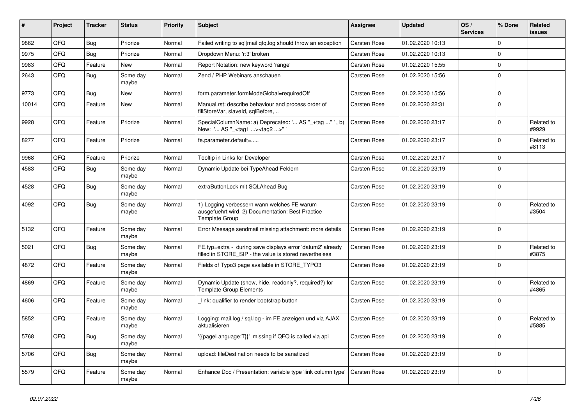| #     | Project | <b>Tracker</b> | <b>Status</b>     | <b>Priority</b> | <b>Subject</b>                                                                                                       | <b>Assignee</b> | <b>Updated</b>   | OS/<br><b>Services</b> | % Done      | Related<br><b>issues</b> |
|-------|---------|----------------|-------------------|-----------------|----------------------------------------------------------------------------------------------------------------------|-----------------|------------------|------------------------|-------------|--------------------------|
| 9862  | QFQ     | Bug            | Priorize          | Normal          | Failed writing to sql mail qfq.log should throw an exception                                                         | Carsten Rose    | 01.02.2020 10:13 |                        | $\mathbf 0$ |                          |
| 9975  | QFQ     | Bug            | Priorize          | Normal          | Dropdown Menu: 'r:3' broken                                                                                          | Carsten Rose    | 01.02.2020 10:13 |                        | $\mathbf 0$ |                          |
| 9983  | QFQ     | Feature        | <b>New</b>        | Normal          | Report Notation: new keyword 'range'                                                                                 | Carsten Rose    | 01.02.2020 15:55 |                        | $\mathbf 0$ |                          |
| 2643  | QFQ     | Bug            | Some day<br>maybe | Normal          | Zend / PHP Webinars anschauen                                                                                        | Carsten Rose    | 01.02.2020 15:56 |                        | $\mathbf 0$ |                          |
| 9773  | QFQ     | <b>Bug</b>     | New               | Normal          | form.parameter.formModeGlobal=requiredOff                                                                            | Carsten Rose    | 01.02.2020 15:56 |                        | $\pmb{0}$   |                          |
| 10014 | QFQ     | Feature        | New               | Normal          | Manual.rst: describe behaviour and process order of<br>fillStoreVar, slaveId, sqlBefore,                             | Carsten Rose    | 01.02.2020 22:31 |                        | $\pmb{0}$   |                          |
| 9928  | QFQ     | Feature        | Priorize          | Normal          | SpecialColumnName: a) Deprecated: ' AS "_+tag " ', b)<br>New: ' AS "_ <tag1><tag2>"'</tag2></tag1>                   | Carsten Rose    | 01.02.2020 23:17 |                        | $\Omega$    | Related to<br>#9929      |
| 8277  | QFQ     | Feature        | Priorize          | Normal          | fe.parameter.default=                                                                                                | Carsten Rose    | 01.02.2020 23:17 |                        | $\mathbf 0$ | Related to<br>#8113      |
| 9968  | QFQ     | Feature        | Priorize          | Normal          | Tooltip in Links for Developer                                                                                       | Carsten Rose    | 01.02.2020 23:17 |                        | $\mathbf 0$ |                          |
| 4583  | QFQ     | Bug            | Some day<br>maybe | Normal          | Dynamic Update bei TypeAhead Feldern                                                                                 | Carsten Rose    | 01.02.2020 23:19 |                        | $\Omega$    |                          |
| 4528  | QFQ     | <b>Bug</b>     | Some day<br>maybe | Normal          | extraButtonLock mit SQLAhead Bug                                                                                     | Carsten Rose    | 01.02.2020 23:19 |                        | $\mathbf 0$ |                          |
| 4092  | QFQ     | <b>Bug</b>     | Some day<br>maybe | Normal          | 1) Logging verbessern wann welches FE warum<br>ausgefuehrt wird, 2) Documentation: Best Practice<br>Template Group   | Carsten Rose    | 01.02.2020 23:19 |                        | $\Omega$    | Related to<br>#3504      |
| 5132  | QFQ     | Feature        | Some day<br>maybe | Normal          | Error Message sendmail missing attachment: more details                                                              | Carsten Rose    | 01.02.2020 23:19 |                        | $\Omega$    |                          |
| 5021  | QFQ     | Bug            | Some day<br>maybe | Normal          | FE.typ=extra - during save displays error 'datum2' already<br>filled in STORE_SIP - the value is stored nevertheless | Carsten Rose    | 01.02.2020 23:19 |                        | $\mathbf 0$ | Related to<br>#3875      |
| 4872  | QFQ     | Feature        | Some day<br>maybe | Normal          | Fields of Typo3 page available in STORE_TYPO3                                                                        | Carsten Rose    | 01.02.2020 23:19 |                        | $\mathbf 0$ |                          |
| 4869  | QFQ     | Feature        | Some day<br>maybe | Normal          | Dynamic Update (show, hide, readonly?, required?) for<br><b>Template Group Elements</b>                              | Carsten Rose    | 01.02.2020 23:19 |                        | $\Omega$    | Related to<br>#4865      |
| 4606  | QFQ     | Feature        | Some day<br>maybe | Normal          | link: qualifier to render bootstrap button                                                                           | Carsten Rose    | 01.02.2020 23:19 |                        | $\mathbf 0$ |                          |
| 5852  | QFQ     | Feature        | Some day<br>maybe | Normal          | Logging: mail.log / sql.log - im FE anzeigen und via AJAX<br>aktualisieren                                           | Carsten Rose    | 01.02.2020 23:19 |                        | $\mathbf 0$ | Related to<br>#5885      |
| 5768  | QFQ     | Bug            | Some day<br>maybe | Normal          | {{pageLanguage:T}}' missing if QFQ is called via api                                                                 | Carsten Rose    | 01.02.2020 23:19 |                        | $\Omega$    |                          |
| 5706  | QFQ     | Bug            | Some day<br>maybe | Normal          | upload: fileDestination needs to be sanatized                                                                        | Carsten Rose    | 01.02.2020 23:19 |                        | $\Omega$    |                          |
| 5579  | QFQ     | Feature        | Some day<br>maybe | Normal          | Enhance Doc / Presentation: variable type 'link column type'                                                         | Carsten Rose    | 01.02.2020 23:19 |                        | $\mathbf 0$ |                          |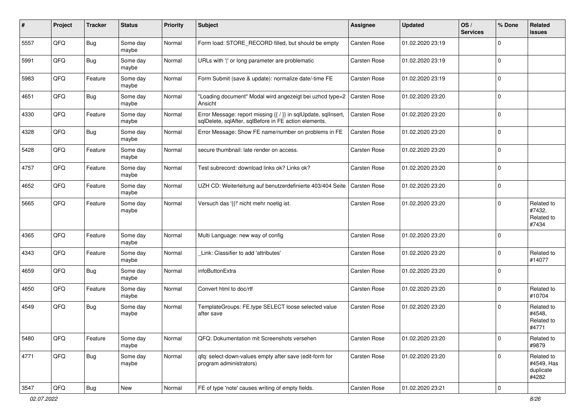| #    | Project | <b>Tracker</b> | <b>Status</b>     | <b>Priority</b> | Subject                                                                                                                 | Assignee     | <b>Updated</b>   | OS/<br><b>Services</b> | % Done      | Related<br><b>issues</b>                       |
|------|---------|----------------|-------------------|-----------------|-------------------------------------------------------------------------------------------------------------------------|--------------|------------------|------------------------|-------------|------------------------------------------------|
| 5557 | QFQ     | Bug            | Some day<br>maybe | Normal          | Form load: STORE RECORD filled, but should be empty                                                                     | Carsten Rose | 01.02.2020 23:19 |                        | $\mathbf 0$ |                                                |
| 5991 | QFQ     | Bug            | Some day<br>maybe | Normal          | URLs with ' ' or long parameter are problematic                                                                         | Carsten Rose | 01.02.2020 23:19 |                        | $\mathbf 0$ |                                                |
| 5983 | QFQ     | Feature        | Some day<br>maybe | Normal          | Form Submit (save & update): normalize date/-time FE                                                                    | Carsten Rose | 01.02.2020 23:19 |                        | $\mathbf 0$ |                                                |
| 4651 | QFQ     | Bug            | Some day<br>maybe | Normal          | "Loading document" Modal wird angezeigt bei uzhcd type=2<br>Ansicht                                                     | Carsten Rose | 01.02.2020 23:20 |                        | $\mathbf 0$ |                                                |
| 4330 | QFQ     | Feature        | Some day<br>maybe | Normal          | Error Message: report missing {{ / }} in sqlUpdate, sqlInsert,<br>sqlDelete, sqlAfter, sqlBefore in FE action elements. | Carsten Rose | 01.02.2020 23:20 |                        | $\mathbf 0$ |                                                |
| 4328 | QFQ     | <b>Bug</b>     | Some day<br>maybe | Normal          | Error Message: Show FE name/number on problems in FE                                                                    | Carsten Rose | 01.02.2020 23:20 |                        | $\mathbf 0$ |                                                |
| 5428 | QFQ     | Feature        | Some day<br>maybe | Normal          | secure thumbnail: late render on access.                                                                                | Carsten Rose | 01.02.2020 23:20 |                        | $\mathbf 0$ |                                                |
| 4757 | QFQ     | Feature        | Some day<br>maybe | Normal          | Test subrecord: download links ok? Links ok?                                                                            | Carsten Rose | 01.02.2020 23:20 |                        | $\mathbf 0$ |                                                |
| 4652 | QFQ     | Feature        | Some day<br>maybe | Normal          | UZH CD: Weiterleitung auf benutzerdefinierte 403/404 Seite                                                              | Carsten Rose | 01.02.2020 23:20 |                        | $\mathbf 0$ |                                                |
| 5665 | QFQ     | Feature        | Some day<br>maybe | Normal          | Versuch das '{{!' nicht mehr noetig ist.                                                                                | Carsten Rose | 01.02.2020 23:20 |                        | $\mathbf 0$ | Related to<br>#7432,<br>Related to<br>#7434    |
| 4365 | QFQ     | Feature        | Some day<br>maybe | Normal          | Multi Language: new way of config                                                                                       | Carsten Rose | 01.02.2020 23:20 |                        | $\mathbf 0$ |                                                |
| 4343 | QFQ     | Feature        | Some day<br>maybe | Normal          | Link: Classifier to add 'attributes'                                                                                    | Carsten Rose | 01.02.2020 23:20 |                        | $\mathbf 0$ | Related to<br>#14077                           |
| 4659 | QFQ     | Bug            | Some day<br>maybe | Normal          | infoButtonExtra                                                                                                         | Carsten Rose | 01.02.2020 23:20 |                        | $\mathbf 0$ |                                                |
| 4650 | QFQ     | Feature        | Some day<br>maybe | Normal          | Convert html to doc/rtf                                                                                                 | Carsten Rose | 01.02.2020 23:20 |                        | $\mathbf 0$ | Related to<br>#10704                           |
| 4549 | QFQ     | Bug            | Some day<br>maybe | Normal          | TemplateGroups: FE.type SELECT loose selected value<br>after save                                                       | Carsten Rose | 01.02.2020 23:20 |                        | $\mathbf 0$ | Related to<br>#4548,<br>Related to<br>#4771    |
| 5480 | QFQ     | Feature        | Some day<br>maybe | Normal          | QFQ: Dokumentation mit Screenshots versehen                                                                             | Carsten Rose | 01.02.2020 23:20 |                        | $\mathbf 0$ | Related to<br>#9879                            |
| 4771 | QFQ     | Bug            | Some day<br>maybe | Normal          | qfq: select-down-values empty after save (edit-form for<br>program administrators)                                      | Carsten Rose | 01.02.2020 23:20 |                        | $\mathbf 0$ | Related to<br>#4549, Has<br>duplicate<br>#4282 |
| 3547 | QFG     | Bug            | New               | Normal          | FE of type 'note' causes writing of empty fields.                                                                       | Carsten Rose | 01.02.2020 23:21 |                        | 0           |                                                |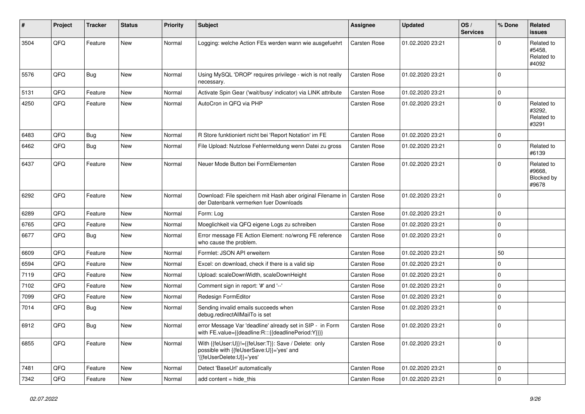| ∦    | Project | <b>Tracker</b> | <b>Status</b> | <b>Priority</b> | <b>Subject</b>                                                                                                               | <b>Assignee</b> | <b>Updated</b>   | OS/<br><b>Services</b> | % Done      | Related<br><b>issues</b>                    |
|------|---------|----------------|---------------|-----------------|------------------------------------------------------------------------------------------------------------------------------|-----------------|------------------|------------------------|-------------|---------------------------------------------|
| 3504 | QFQ     | Feature        | <b>New</b>    | Normal          | Logging: welche Action FEs werden wann wie ausgefuehrt                                                                       | Carsten Rose    | 01.02.2020 23:21 |                        | $\Omega$    | Related to<br>#5458.<br>Related to<br>#4092 |
| 5576 | QFQ     | Bug            | <b>New</b>    | Normal          | Using MySQL 'DROP' requires privilege - wich is not really<br>necessary.                                                     | Carsten Rose    | 01.02.2020 23:21 |                        | $\Omega$    |                                             |
| 5131 | QFQ     | Feature        | New           | Normal          | Activate Spin Gear ('wait/busy' indicator) via LINK attribute                                                                | Carsten Rose    | 01.02.2020 23:21 |                        | 0           |                                             |
| 4250 | QFQ     | Feature        | New           | Normal          | AutoCron in QFQ via PHP                                                                                                      | Carsten Rose    | 01.02.2020 23:21 |                        | $\Omega$    | Related to<br>#3292,<br>Related to<br>#3291 |
| 6483 | QFQ     | Bug            | <b>New</b>    | Normal          | R Store funktioniert nicht bei 'Report Notation' im FE                                                                       | Carsten Rose    | 01.02.2020 23:21 |                        | $\mathbf 0$ |                                             |
| 6462 | QFQ     | <b>Bug</b>     | New           | Normal          | File Upload: Nutzlose Fehlermeldung wenn Datei zu gross                                                                      | Carsten Rose    | 01.02.2020 23:21 |                        | $\Omega$    | Related to<br>#6139                         |
| 6437 | QFQ     | Feature        | <b>New</b>    | Normal          | Neuer Mode Button bei FormElementen                                                                                          | Carsten Rose    | 01.02.2020 23:21 |                        | $\Omega$    | Related to<br>#9668.<br>Blocked by<br>#9678 |
| 6292 | QFQ     | Feature        | New           | Normal          | Download: File speichern mit Hash aber original Filename in<br>der Datenbank vermerken fuer Downloads                        | Carsten Rose    | 01.02.2020 23:21 |                        | $\Omega$    |                                             |
| 6289 | QFQ     | Feature        | New           | Normal          | Form: Log                                                                                                                    | Carsten Rose    | 01.02.2020 23:21 |                        | 0           |                                             |
| 6765 | QFQ     | Feature        | New           | Normal          | Moeglichkeit via QFQ eigene Logs zu schreiben                                                                                | Carsten Rose    | 01.02.2020 23:21 |                        | $\mathbf 0$ |                                             |
| 6677 | QFQ     | <b>Bug</b>     | New           | Normal          | Error message FE Action Element: no/wrong FE reference<br>who cause the problem.                                             | Carsten Rose    | 01.02.2020 23:21 |                        | $\Omega$    |                                             |
| 6609 | QFQ     | Feature        | <b>New</b>    | Normal          | Formlet: JSON API erweitern                                                                                                  | Carsten Rose    | 01.02.2020 23:21 |                        | 50          |                                             |
| 6594 | QFQ     | Feature        | <b>New</b>    | Normal          | Excel: on download, check if there is a valid sip                                                                            | Carsten Rose    | 01.02.2020 23:21 |                        | $\mathbf 0$ |                                             |
| 7119 | QFQ     | Feature        | New           | Normal          | Upload: scaleDownWidth, scaleDownHeight                                                                                      | Carsten Rose    | 01.02.2020 23:21 |                        | $\mathbf 0$ |                                             |
| 7102 | QFQ     | Feature        | New           | Normal          | Comment sign in report: '#' and '--'                                                                                         | Carsten Rose    | 01.02.2020 23:21 |                        | $\mathbf 0$ |                                             |
| 7099 | QFQ     | Feature        | New           | Normal          | Redesign FormEditor                                                                                                          | Carsten Rose    | 01.02.2020 23:21 |                        | 0           |                                             |
| 7014 | QFQ     | Bug            | New           | Normal          | Sending invalid emails succeeds when<br>debug.redirectAllMailTo is set                                                       | Carsten Rose    | 01.02.2020 23:21 |                        | $\Omega$    |                                             |
| 6912 | QFQ     | <b>Bug</b>     | <b>New</b>    | Normal          | error Message Var 'deadline' already set in SIP - in Form<br>with FE.value={{deadline:R:::{{deadlinePeriod:Y}}}}             | Carsten Rose    | 01.02.2020 23:21 |                        | $\mathbf 0$ |                                             |
| 6855 | QFQ     | Feature        | New           | Normal          | With {{feUser:U}}!={{feUser:T}}: Save / Delete: only<br>possible with {{feUserSave:U}}='yes' and<br>'{feUserDelete:U}}='yes' | Carsten Rose    | 01.02.2020 23:21 |                        | $\Omega$    |                                             |
| 7481 | QFQ     | Feature        | New           | Normal          | Detect 'BaseUrl' automatically                                                                                               | Carsten Rose    | 01.02.2020 23:21 |                        | $\pmb{0}$   |                                             |
| 7342 | QFG     | Feature        | New           | Normal          | add content = hide_this                                                                                                      | Carsten Rose    | 01.02.2020 23:21 |                        | $\pmb{0}$   |                                             |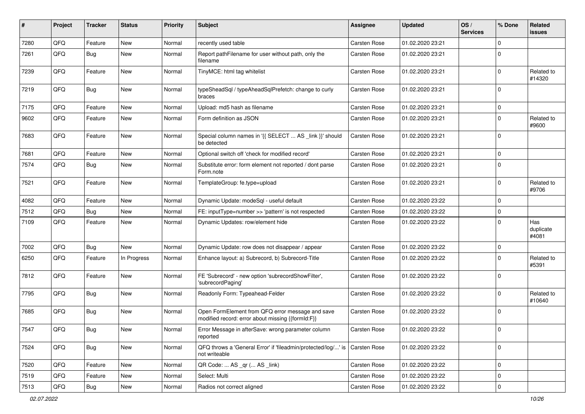| #    | Project | <b>Tracker</b> | <b>Status</b> | <b>Priority</b> | <b>Subject</b>                                                                                        | Assignee            | <b>Updated</b>   | OS/<br><b>Services</b> | % Done              | Related<br><b>issues</b>  |
|------|---------|----------------|---------------|-----------------|-------------------------------------------------------------------------------------------------------|---------------------|------------------|------------------------|---------------------|---------------------------|
| 7280 | QFQ     | Feature        | <b>New</b>    | Normal          | recently used table                                                                                   | Carsten Rose        | 01.02.2020 23:21 |                        | $\mathbf 0$         |                           |
| 7261 | QFQ     | Bug            | New           | Normal          | Report pathFilename for user without path, only the<br>filename                                       | Carsten Rose        | 01.02.2020 23:21 |                        | $\mathbf 0$         |                           |
| 7239 | QFQ     | Feature        | New           | Normal          | TinyMCE: html tag whitelist                                                                           | Carsten Rose        | 01.02.2020 23:21 |                        | $\pmb{0}$           | Related to<br>#14320      |
| 7219 | QFQ     | Bug            | New           | Normal          | typeSheadSql / typeAheadSqlPrefetch: change to curly<br>braces                                        | Carsten Rose        | 01.02.2020 23:21 |                        | $\mathbf 0$         |                           |
| 7175 | QFQ     | Feature        | New           | Normal          | Upload: md5 hash as filename                                                                          | <b>Carsten Rose</b> | 01.02.2020 23:21 |                        | $\mathbf 0$         |                           |
| 9602 | QFQ     | Feature        | New           | Normal          | Form definition as JSON                                                                               | <b>Carsten Rose</b> | 01.02.2020 23:21 |                        | $\mathbf 0$         | Related to<br>#9600       |
| 7683 | QFQ     | Feature        | New           | Normal          | Special column names in '{{ SELECT  AS _link }}' should<br>be detected                                | Carsten Rose        | 01.02.2020 23:21 |                        | $\mathbf 0$         |                           |
| 7681 | QFQ     | Feature        | New           | Normal          | Optional switch off 'check for modified record'                                                       | Carsten Rose        | 01.02.2020 23:21 |                        | $\mathbf 0$         |                           |
| 7574 | QFQ     | Bug            | New           | Normal          | Substitute error: form element not reported / dont parse<br>Form.note                                 | Carsten Rose        | 01.02.2020 23:21 |                        | $\mathbf 0$         |                           |
| 7521 | QFQ     | Feature        | New           | Normal          | TemplateGroup: fe.type=upload                                                                         | Carsten Rose        | 01.02.2020 23:21 |                        | $\mathbf 0$         | Related to<br>#9706       |
| 4082 | QFQ     | Feature        | New           | Normal          | Dynamic Update: modeSql - useful default                                                              | Carsten Rose        | 01.02.2020 23:22 |                        | $\mathbf 0$         |                           |
| 7512 | QFQ     | Bug            | New           | Normal          | FE: inputType=number >> 'pattern' is not respected                                                    | <b>Carsten Rose</b> | 01.02.2020 23:22 |                        | $\mathbf 0$         |                           |
| 7109 | QFQ     | Feature        | New           | Normal          | Dynamic Updates: row/element hide                                                                     | Carsten Rose        | 01.02.2020 23:22 |                        | $\mathbf 0$         | Has<br>duplicate<br>#4081 |
| 7002 | QFQ     | Bug            | <b>New</b>    | Normal          | Dynamic Update: row does not disappear / appear                                                       | Carsten Rose        | 01.02.2020 23:22 |                        | $\mathbf 0$         |                           |
| 6250 | QFQ     | Feature        | In Progress   | Normal          | Enhance layout: a) Subrecord, b) Subrecord-Title                                                      | Carsten Rose        | 01.02.2020 23:22 |                        | $\mathbf 0$         | Related to<br>#5391       |
| 7812 | QFQ     | Feature        | New           | Normal          | FE 'Subrecord' - new option 'subrecordShowFilter',<br>'subrecordPaging'                               | Carsten Rose        | 01.02.2020 23:22 |                        | $\mathbf 0$         |                           |
| 7795 | QFQ     | Bug            | New           | Normal          | Readonly Form: Typeahead-Felder                                                                       | Carsten Rose        | 01.02.2020 23:22 |                        | $\mathbf 0$         | Related to<br>#10640      |
| 7685 | QFQ     | <b>Bug</b>     | New           | Normal          | Open FormElement from QFQ error message and save<br>modified record: error about missing {{formId:F}} | <b>Carsten Rose</b> | 01.02.2020 23:22 |                        | $\mathbf 0$         |                           |
| 7547 | QFQ     | Bug            | New           | Normal          | Error Message in afterSave: wrong parameter column<br>reported                                        | Carsten Rose        | 01.02.2020 23:22 |                        | $\mathbf 0$         |                           |
| 7524 | QFQ     | <b>Bug</b>     | New           | Normal          | QFQ throws a 'General Error' if 'fileadmin/protected/log/' is Carsten Rose<br>not writeable           |                     | 01.02.2020 23:22 |                        | $\mathbf 0$         |                           |
| 7520 | QFQ     | Feature        | New           | Normal          | QR Code:  AS _qr ( AS _link)                                                                          | Carsten Rose        | 01.02.2020 23:22 |                        | $\mathbf 0$         |                           |
| 7519 | QFQ     | Feature        | New           | Normal          | Select: Multi                                                                                         | Carsten Rose        | 01.02.2020 23:22 |                        | $\mathsf 0$         |                           |
| 7513 | QFQ     | Bug            | New           | Normal          | Radios not correct aligned                                                                            | Carsten Rose        | 01.02.2020 23:22 |                        | $\mathsf{O}\xspace$ |                           |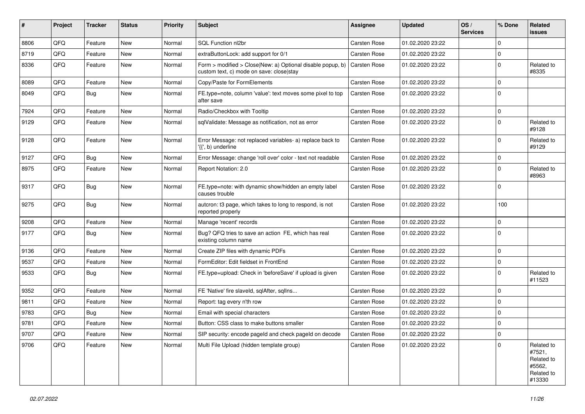| #    | <b>Project</b> | <b>Tracker</b> | <b>Status</b> | <b>Priority</b> | <b>Subject</b>                                                                                                              | <b>Assignee</b>     | <b>Updated</b>   | OS/<br><b>Services</b> | % Done      | Related<br>issues                                                    |
|------|----------------|----------------|---------------|-----------------|-----------------------------------------------------------------------------------------------------------------------------|---------------------|------------------|------------------------|-------------|----------------------------------------------------------------------|
| 8806 | QFQ            | Feature        | <b>New</b>    | Normal          | SQL Function nl2br                                                                                                          | Carsten Rose        | 01.02.2020 23:22 |                        | $\mathbf 0$ |                                                                      |
| 8719 | QFQ            | Feature        | <b>New</b>    | Normal          | extraButtonLock: add support for 0/1                                                                                        | Carsten Rose        | 01.02.2020 23:22 |                        | $\pmb{0}$   |                                                                      |
| 8336 | QFQ            | Feature        | New           | Normal          | Form > modified > Close New: a) Optional disable popup, b) $\vert$ Carsten Rose<br>custom text, c) mode on save: close stay |                     | 01.02.2020 23:22 |                        | $\Omega$    | Related to<br>#8335                                                  |
| 8089 | QFQ            | Feature        | New           | Normal          | Copy/Paste for FormElements                                                                                                 | Carsten Rose        | 01.02.2020 23:22 |                        | $\mathbf 0$ |                                                                      |
| 8049 | QFQ            | Bug            | <b>New</b>    | Normal          | FE.type=note, column 'value': text moves some pixel to top<br>after save                                                    | Carsten Rose        | 01.02.2020 23:22 |                        | $\mathbf 0$ |                                                                      |
| 7924 | QFQ            | Feature        | <b>New</b>    | Normal          | Radio/Checkbox with Tooltip                                                                                                 | Carsten Rose        | 01.02.2020 23:22 |                        | 0           |                                                                      |
| 9129 | QFQ            | Feature        | <b>New</b>    | Normal          | sqlValidate: Message as notification, not as error                                                                          | Carsten Rose        | 01.02.2020 23:22 |                        | $\Omega$    | Related to<br>#9128                                                  |
| 9128 | QFQ            | Feature        | <b>New</b>    | Normal          | Error Message: not replaced variables- a) replace back to<br>'{{', b) underline                                             | Carsten Rose        | 01.02.2020 23:22 |                        | $\mathbf 0$ | Related to<br>#9129                                                  |
| 9127 | QFQ            | Bug            | <b>New</b>    | Normal          | Error Message: change 'roll over' color - text not readable                                                                 | Carsten Rose        | 01.02.2020 23:22 |                        | $\pmb{0}$   |                                                                      |
| 8975 | QFQ            | Feature        | <b>New</b>    | Normal          | Report Notation: 2.0                                                                                                        | Carsten Rose        | 01.02.2020 23:22 |                        | $\mathbf 0$ | Related to<br>#8963                                                  |
| 9317 | QFQ            | Bug            | <b>New</b>    | Normal          | FE.type=note: with dynamic show/hidden an empty label<br>causes trouble                                                     | Carsten Rose        | 01.02.2020 23:22 |                        | $\Omega$    |                                                                      |
| 9275 | QFQ            | Bug            | <b>New</b>    | Normal          | autcron: t3 page, which takes to long to respond, is not<br>reported properly                                               | Carsten Rose        | 01.02.2020 23:22 |                        | 100         |                                                                      |
| 9208 | QFQ            | Feature        | <b>New</b>    | Normal          | Manage 'recent' records                                                                                                     | Carsten Rose        | 01.02.2020 23:22 |                        | $\mathbf 0$ |                                                                      |
| 9177 | QFQ            | Bug            | New           | Normal          | Bug? QFQ tries to save an action FE, which has real<br>existing column name                                                 | Carsten Rose        | 01.02.2020 23:22 |                        | $\mathbf 0$ |                                                                      |
| 9136 | QFQ            | Feature        | <b>New</b>    | Normal          | Create ZIP files with dynamic PDFs                                                                                          | Carsten Rose        | 01.02.2020 23:22 |                        | $\mathbf 0$ |                                                                      |
| 9537 | QFQ            | Feature        | <b>New</b>    | Normal          | FormEditor: Edit fieldset in FrontEnd                                                                                       | Carsten Rose        | 01.02.2020 23:22 |                        | $\pmb{0}$   |                                                                      |
| 9533 | QFQ            | Bug            | New           | Normal          | FE.type=upload: Check in 'beforeSave' if upload is given                                                                    | Carsten Rose        | 01.02.2020 23:22 |                        | $\mathbf 0$ | Related to<br>#11523                                                 |
| 9352 | QFQ            | Feature        | <b>New</b>    | Normal          | FE 'Native' fire slaveld, sqlAfter, sqlIns                                                                                  | Carsten Rose        | 01.02.2020 23:22 |                        | $\mathbf 0$ |                                                                      |
| 9811 | QFQ            | Feature        | <b>New</b>    | Normal          | Report: tag every n'th row                                                                                                  | Carsten Rose        | 01.02.2020 23:22 |                        | $\mathbf 0$ |                                                                      |
| 9783 | QFQ            | Bug            | New           | Normal          | Email with special characters                                                                                               | Carsten Rose        | 01.02.2020 23:22 |                        | 0           |                                                                      |
| 9781 | QFQ            | Feature        | <b>New</b>    | Normal          | Button: CSS class to make buttons smaller                                                                                   | <b>Carsten Rose</b> | 01.02.2020 23:22 |                        | 0           |                                                                      |
| 9707 | QFQ            | Feature        | <b>New</b>    | Normal          | SIP security: encode pageld and check pageld on decode                                                                      | <b>Carsten Rose</b> | 01.02.2020 23:22 |                        | 0           |                                                                      |
| 9706 | QFQ            | Feature        | New           | Normal          | Multi File Upload (hidden template group)                                                                                   | Carsten Rose        | 01.02.2020 23:22 |                        | $\Omega$    | Related to<br>#7521,<br>Related to<br>#5562,<br>Related to<br>#13330 |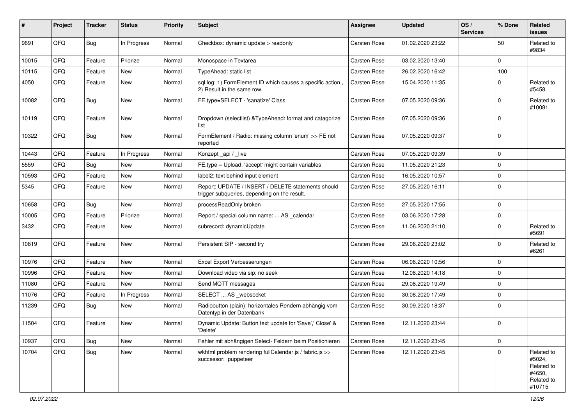| #     | Project | <b>Tracker</b> | <b>Status</b> | <b>Priority</b> | <b>Subject</b>                                                                                     | <b>Assignee</b> | <b>Updated</b>   | OS/<br><b>Services</b> | % Done      | Related<br>issues                                                    |
|-------|---------|----------------|---------------|-----------------|----------------------------------------------------------------------------------------------------|-----------------|------------------|------------------------|-------------|----------------------------------------------------------------------|
| 9691  | QFQ     | <b>Bug</b>     | In Progress   | Normal          | Checkbox: dynamic update > readonly                                                                | Carsten Rose    | 01.02.2020 23:22 |                        | 50          | Related to<br>#9834                                                  |
| 10015 | QFQ     | Feature        | Priorize      | Normal          | Monospace in Textarea                                                                              | Carsten Rose    | 03.02.2020 13:40 |                        | $\Omega$    |                                                                      |
| 10115 | QFQ     | Feature        | New           | Normal          | TypeAhead: static list                                                                             | Carsten Rose    | 26.02.2020 16:42 |                        | 100         |                                                                      |
| 4050  | QFQ     | Feature        | New           | Normal          | sql.log: 1) FormElement ID which causes a specific action<br>2) Result in the same row.            | Carsten Rose    | 15.04.2020 11:35 |                        | $\Omega$    | Related to<br>#5458                                                  |
| 10082 | QFQ     | <b>Bug</b>     | New           | Normal          | FE.type=SELECT - 'sanatize' Class                                                                  | Carsten Rose    | 07.05.2020 09:36 |                        | $\Omega$    | Related to<br>#10081                                                 |
| 10119 | QFQ     | Feature        | New           | Normal          | Dropdown (selectlist) & TypeAhead: format and catagorize<br>list                                   | Carsten Rose    | 07.05.2020 09:36 |                        | $\Omega$    |                                                                      |
| 10322 | QFQ     | <b>Bug</b>     | New           | Normal          | FormElement / Radio: missing column 'enum' >> FE not<br>reported                                   | Carsten Rose    | 07.05.2020 09:37 |                        | $\Omega$    |                                                                      |
| 10443 | QFQ     | Feature        | In Progress   | Normal          | Konzept_api / _live                                                                                | Carsten Rose    | 07.05.2020 09:39 |                        | $\Omega$    |                                                                      |
| 5559  | QFQ     | <b>Bug</b>     | New           | Normal          | FE.type = Upload: 'accept' might contain variables                                                 | Carsten Rose    | 11.05.2020 21:23 |                        | $\Omega$    |                                                                      |
| 10593 | QFQ     | Feature        | New           | Normal          | label2: text behind input element                                                                  | Carsten Rose    | 16.05.2020 10:57 |                        | $\Omega$    |                                                                      |
| 5345  | QFQ     | Feature        | New           | Normal          | Report: UPDATE / INSERT / DELETE statements should<br>trigger subqueries, depending on the result. | Carsten Rose    | 27.05.2020 16:11 |                        | $\Omega$    |                                                                      |
| 10658 | QFQ     | <b>Bug</b>     | New           | Normal          | processReadOnly broken                                                                             | Carsten Rose    | 27.05.2020 17:55 |                        | $\mathbf 0$ |                                                                      |
| 10005 | QFQ     | Feature        | Priorize      | Normal          | Report / special column name:  AS _calendar                                                        | Carsten Rose    | 03.06.2020 17:28 |                        | $\Omega$    |                                                                      |
| 3432  | QFQ     | Feature        | New           | Normal          | subrecord: dynamicUpdate                                                                           | Carsten Rose    | 11.06.2020 21:10 |                        | $\Omega$    | Related to<br>#5691                                                  |
| 10819 | QFQ     | Feature        | New           | Normal          | Persistent SIP - second try                                                                        | Carsten Rose    | 29.06.2020 23:02 |                        | $\Omega$    | Related to<br>#6261                                                  |
| 10976 | QFQ     | Feature        | New           | Normal          | Excel Export Verbesserungen                                                                        | Carsten Rose    | 06.08.2020 10:56 |                        | $\Omega$    |                                                                      |
| 10996 | QFQ     | Feature        | New           | Normal          | Download video via sip: no seek                                                                    | Carsten Rose    | 12.08.2020 14:18 |                        | $\Omega$    |                                                                      |
| 11080 | QFQ     | Feature        | New           | Normal          | Send MQTT messages                                                                                 | Carsten Rose    | 29.08.2020 19:49 |                        | $\Omega$    |                                                                      |
| 11076 | QFQ     | Feature        | In Progress   | Normal          | SELECT  AS _websocket                                                                              | Carsten Rose    | 30.08.2020 17:49 |                        | $\Omega$    |                                                                      |
| 11239 | QFQ     | <b>Bug</b>     | New           | Normal          | Radiobutton (plain): horizontales Rendern abhängig vom<br>Datentyp in der Datenbank                | Carsten Rose    | 30.09.2020 18:37 |                        | $\Omega$    |                                                                      |
| 11504 | QFQ     | Feature        | New           | Normal          | Dynamic Update: Button text update for 'Save',' Close' &<br>'Delete'                               | Carsten Rose    | 12.11.2020 23:44 |                        | $\Omega$    |                                                                      |
| 10937 | QFQ     | <b>Bug</b>     | New           | Normal          | Fehler mit abhängigen Select- Feldern beim Positionieren                                           | Carsten Rose    | 12.11.2020 23:45 |                        | 0           |                                                                      |
| 10704 | QFQ     | <b>Bug</b>     | New           | Normal          | wkhtml problem rendering fullCalendar.js / fabric.js >><br>successor: puppeteer                    | Carsten Rose    | 12.11.2020 23:45 |                        | $\Omega$    | Related to<br>#5024,<br>Related to<br>#4650,<br>Related to<br>#10715 |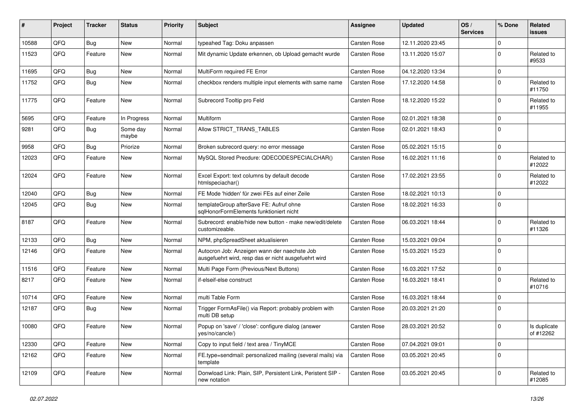| ∦     | Project | <b>Tracker</b> | <b>Status</b>     | <b>Priority</b> | <b>Subject</b>                                                                                       | Assignee     | <b>Updated</b>   | OS/<br><b>Services</b> | % Done      | Related<br>issues         |
|-------|---------|----------------|-------------------|-----------------|------------------------------------------------------------------------------------------------------|--------------|------------------|------------------------|-------------|---------------------------|
| 10588 | QFQ     | <b>Bug</b>     | <b>New</b>        | Normal          | typeahed Tag: Doku anpassen                                                                          | Carsten Rose | 12.11.2020 23:45 |                        | $\mathbf 0$ |                           |
| 11523 | QFQ     | Feature        | New               | Normal          | Mit dynamic Update erkennen, ob Upload gemacht wurde                                                 | Carsten Rose | 13.11.2020 15:07 |                        | $\mathbf 0$ | Related to<br>#9533       |
| 11695 | QFQ     | Bug            | <b>New</b>        | Normal          | MultiForm required FE Error                                                                          | Carsten Rose | 04.12.2020 13:34 |                        | $\mathbf 0$ |                           |
| 11752 | QFQ     | <b>Bug</b>     | New               | Normal          | checkbox renders multiple input elements with same name                                              | Carsten Rose | 17.12.2020 14:58 |                        | $\Omega$    | Related to<br>#11750      |
| 11775 | QFQ     | Feature        | New               | Normal          | Subrecord Tooltip pro Feld                                                                           | Carsten Rose | 18.12.2020 15:22 |                        | $\mathbf 0$ | Related to<br>#11955      |
| 5695  | QFQ     | Feature        | In Progress       | Normal          | <b>Multiform</b>                                                                                     | Carsten Rose | 02.01.2021 18:38 |                        | $\mathbf 0$ |                           |
| 9281  | QFQ     | <b>Bug</b>     | Some day<br>maybe | Normal          | Allow STRICT_TRANS_TABLES                                                                            | Carsten Rose | 02.01.2021 18:43 |                        | $\Omega$    |                           |
| 9958  | QFQ     | Bug            | Priorize          | Normal          | Broken subrecord query: no error message                                                             | Carsten Rose | 05.02.2021 15:15 |                        | $\mathbf 0$ |                           |
| 12023 | QFQ     | Feature        | New               | Normal          | MySQL Stored Precdure: QDECODESPECIALCHAR()                                                          | Carsten Rose | 16.02.2021 11:16 |                        | $\Omega$    | Related to<br>#12022      |
| 12024 | QFQ     | Feature        | <b>New</b>        | Normal          | Excel Export: text columns by default decode<br>htmlspeciachar()                                     | Carsten Rose | 17.02.2021 23:55 |                        | $\mathbf 0$ | Related to<br>#12022      |
| 12040 | QFQ     | <b>Bug</b>     | <b>New</b>        | Normal          | FE Mode 'hidden' für zwei FEs auf einer Zeile                                                        | Carsten Rose | 18.02.2021 10:13 |                        | $\pmb{0}$   |                           |
| 12045 | QFQ     | <b>Bug</b>     | New               | Normal          | templateGroup afterSave FE: Aufruf ohne<br>sqlHonorFormElements funktioniert nicht                   | Carsten Rose | 18.02.2021 16:33 |                        | $\Omega$    |                           |
| 8187  | QFQ     | Feature        | <b>New</b>        | Normal          | Subrecord: enable/hide new button - make new/edit/delete<br>customizeable.                           | Carsten Rose | 06.03.2021 18:44 |                        | $\Omega$    | Related to<br>#11326      |
| 12133 | QFQ     | <b>Bug</b>     | <b>New</b>        | Normal          | NPM, phpSpreadSheet aktualisieren                                                                    | Carsten Rose | 15.03.2021 09:04 |                        | $\mathbf 0$ |                           |
| 12146 | QFQ     | Feature        | <b>New</b>        | Normal          | Autocron Job: Anzeigen wann der naechste Job<br>ausgefuehrt wird, resp das er nicht ausgefuehrt wird | Carsten Rose | 15.03.2021 15:23 |                        | $\Omega$    |                           |
| 11516 | QFQ     | Feature        | New               | Normal          | Multi Page Form (Previous/Next Buttons)                                                              | Carsten Rose | 16.03.2021 17:52 |                        | $\pmb{0}$   |                           |
| 8217  | QFQ     | Feature        | New               | Normal          | if-elseif-else construct                                                                             | Carsten Rose | 16.03.2021 18:41 |                        | $\Omega$    | Related to<br>#10716      |
| 10714 | QFQ     | Feature        | New               | Normal          | multi Table Form                                                                                     | Carsten Rose | 16.03.2021 18:44 |                        | $\mathbf 0$ |                           |
| 12187 | QFQ     | <b>Bug</b>     | New               | Normal          | Trigger FormAsFile() via Report: probably problem with<br>multi DB setup                             | Carsten Rose | 20.03.2021 21:20 |                        | $\Omega$    |                           |
| 10080 | QFQ     | Feature        | <b>New</b>        | Normal          | Popup on 'save' / 'close': configure dialog (answer<br>yes/no/cancle/)                               | Carsten Rose | 28.03.2021 20:52 |                        | $\mathbf 0$ | Is duplicate<br>of #12262 |
| 12330 | QFQ     | Feature        | New               | Normal          | Copy to input field / text area / TinyMCE                                                            | Carsten Rose | 07.04.2021 09:01 |                        | $\pmb{0}$   |                           |
| 12162 | QFQ     | Feature        | New               | Normal          | FE.type=sendmail: personalized mailing (several mails) via<br>template                               | Carsten Rose | 03.05.2021 20:45 |                        | $\pmb{0}$   |                           |
| 12109 | QFQ     | Feature        | New               | Normal          | Donwload Link: Plain, SIP, Persistent Link, Peristent SIP -<br>new notation                          | Carsten Rose | 03.05.2021 20:45 |                        | $\mathbf 0$ | Related to<br>#12085      |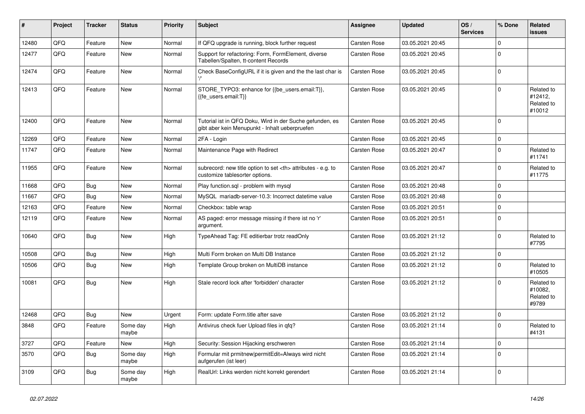| #     | Project | <b>Tracker</b> | <b>Status</b>     | <b>Priority</b> | <b>Subject</b>                                                                                             | <b>Assignee</b>                                        | <b>Updated</b>   | OS/<br><b>Services</b> | % Done      | Related<br>issues                             |                      |
|-------|---------|----------------|-------------------|-----------------|------------------------------------------------------------------------------------------------------------|--------------------------------------------------------|------------------|------------------------|-------------|-----------------------------------------------|----------------------|
| 12480 | QFQ     | Feature        | New               | Normal          | If QFQ upgrade is running, block further request                                                           | Carsten Rose                                           | 03.05.2021 20:45 |                        | $\mathbf 0$ |                                               |                      |
| 12477 | QFQ     | Feature        | New               | Normal          | Support for refactoring: Form, FormElement, diverse<br>Tabellen/Spalten, tt-content Records                | Carsten Rose                                           | 03.05.2021 20:45 |                        | $\Omega$    |                                               |                      |
| 12474 | QFQ     | Feature        | New               | Normal          | Check BaseConfigURL if it is given and the the last char is                                                | Carsten Rose                                           | 03.05.2021 20:45 |                        | $\Omega$    |                                               |                      |
| 12413 | QFQ     | Feature        | New               | Normal          | STORE_TYPO3: enhance for {{be_users.email:T}},<br>{{fe users.email:T}}                                     | Carsten Rose                                           | 03.05.2021 20:45 |                        | $\Omega$    | Related to<br>#12412,<br>Related to<br>#10012 |                      |
| 12400 | QFQ     | Feature        | New               | Normal          | Tutorial ist in QFQ Doku, Wird in der Suche gefunden, es<br>gibt aber kein Menupunkt - Inhalt ueberpruefen | Carsten Rose                                           | 03.05.2021 20:45 |                        | $\Omega$    |                                               |                      |
| 12269 | QFQ     | Feature        | <b>New</b>        | Normal          | 2FA - Login                                                                                                | Carsten Rose                                           | 03.05.2021 20:45 |                        | $\Omega$    |                                               |                      |
| 11747 | QFQ     | Feature        | New               | Normal          | Maintenance Page with Redirect                                                                             | Carsten Rose                                           | 03.05.2021 20:47 |                        | $\Omega$    | Related to<br>#11741                          |                      |
| 11955 | QFQ     | Feature        | New               | Normal          | subrecord: new title option to set <th> attributes - e.g. to<br/>customize tablesorter options.</th>       | attributes - e.g. to<br>customize tablesorter options. | Carsten Rose     | 03.05.2021 20:47       |             | $\Omega$                                      | Related to<br>#11775 |
| 11668 | QFQ     | <b>Bug</b>     | New               | Normal          | Play function.sql - problem with mysql                                                                     | Carsten Rose                                           | 03.05.2021 20:48 |                        | $\Omega$    |                                               |                      |
| 11667 | QFQ     | <b>Bug</b>     | <b>New</b>        | Normal          | MySQL mariadb-server-10.3: Incorrect datetime value                                                        | Carsten Rose                                           | 03.05.2021 20:48 |                        | $\Omega$    |                                               |                      |
| 12163 | QFQ     | Feature        | New               | Normal          | Checkbox: table wrap                                                                                       | Carsten Rose                                           | 03.05.2021 20:51 |                        | $\Omega$    |                                               |                      |
| 12119 | QFQ     | Feature        | New               | Normal          | AS paged: error message missing if there ist no 'r'<br>argument.                                           | Carsten Rose                                           | 03.05.2021 20:51 |                        | $\Omega$    |                                               |                      |
| 10640 | QFQ     | <b>Bug</b>     | New               | High            | TypeAhead Tag: FE editierbar trotz readOnly                                                                | Carsten Rose                                           | 03.05.2021 21:12 |                        | $\Omega$    | Related to<br>#7795                           |                      |
| 10508 | QFQ     | <b>Bug</b>     | New               | High            | Multi Form broken on Multi DB Instance                                                                     | Carsten Rose                                           | 03.05.2021 21:12 |                        | $\mathbf 0$ |                                               |                      |
| 10506 | QFQ     | <b>Bug</b>     | New               | High            | Template Group broken on MultiDB instance                                                                  | Carsten Rose                                           | 03.05.2021 21:12 |                        | $\Omega$    | Related to<br>#10505                          |                      |
| 10081 | QFQ     | <b>Bug</b>     | New               | High            | Stale record lock after 'forbidden' character                                                              | Carsten Rose                                           | 03.05.2021 21:12 |                        | $\Omega$    | Related to<br>#10082,<br>Related to<br>#9789  |                      |
| 12468 | QFQ     | <b>Bug</b>     | New               | Urgent          | Form: update Form.title after save                                                                         | Carsten Rose                                           | 03.05.2021 21:12 |                        | $\Omega$    |                                               |                      |
| 3848  | QFQ     | Feature        | Some day<br>maybe | High            | Antivirus check fuer Upload files in qfq?                                                                  | Carsten Rose                                           | 03.05.2021 21:14 |                        | $\Omega$    | Related to<br>#4131                           |                      |
| 3727  | QFQ     | Feature        | New               | High            | Security: Session Hijacking erschweren                                                                     | Carsten Rose                                           | 03.05.2021 21:14 |                        | $\mathbf 0$ |                                               |                      |
| 3570  | QFQ     | <b>Bug</b>     | Some day<br>maybe | High            | Formular mit prmitnew   permitEdit=Always wird nicht<br>aufgerufen (ist leer)                              | Carsten Rose                                           | 03.05.2021 21:14 |                        | $\mathbf 0$ |                                               |                      |
| 3109  | QFQ     | <b>Bug</b>     | Some day<br>maybe | High            | RealUrl: Links werden nicht korrekt gerendert                                                              | Carsten Rose                                           | 03.05.2021 21:14 |                        | $\mathbf 0$ |                                               |                      |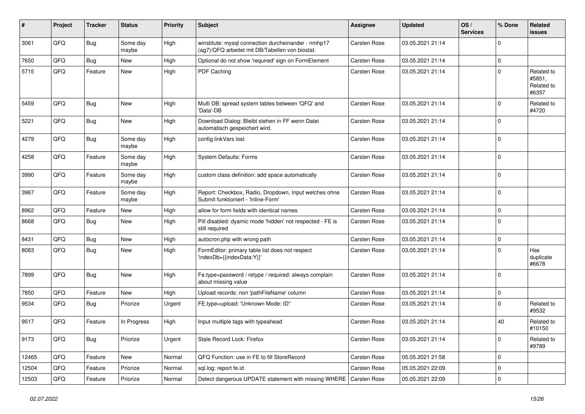| #     | Project | <b>Tracker</b> | <b>Status</b>     | <b>Priority</b> | <b>Subject</b>                                                                                         | Assignee            | <b>Updated</b>   | OS/<br><b>Services</b> | % Done      | Related<br><b>issues</b>                    |
|-------|---------|----------------|-------------------|-----------------|--------------------------------------------------------------------------------------------------------|---------------------|------------------|------------------------|-------------|---------------------------------------------|
| 3061  | QFQ     | <b>Bug</b>     | Some day<br>maybe | High            | winstitute: mysql connection durcheinander - nmhp17<br>(ag7)/QFQ arbeitet mit DB/Tabellen von biostat. | <b>Carsten Rose</b> | 03.05.2021 21:14 |                        | $\mathbf 0$ |                                             |
| 7650  | QFQ     | <b>Bug</b>     | New               | High            | Optional do not show 'required' sign on FormElement                                                    | Carsten Rose        | 03.05.2021 21:14 |                        | $\mathbf 0$ |                                             |
| 5715  | QFQ     | Feature        | New               | High            | PDF Caching                                                                                            | Carsten Rose        | 03.05.2021 21:14 |                        | $\mathbf 0$ | Related to<br>#5851,<br>Related to<br>#6357 |
| 5459  | QFQ     | Bug            | New               | High            | Multi DB: spread system tables between 'QFQ' and<br>'Data'-DB                                          | Carsten Rose        | 03.05.2021 21:14 |                        | $\mathbf 0$ | Related to<br>#4720                         |
| 5221  | QFQ     | <b>Bug</b>     | New               | High            | Download Dialog: Bleibt stehen in FF wenn Datei<br>automatisch gespeichert wird.                       | <b>Carsten Rose</b> | 03.05.2021 21:14 |                        | $\mathbf 0$ |                                             |
| 4279  | QFQ     | Bug            | Some day<br>maybe | High            | config.linkVars lost                                                                                   | <b>Carsten Rose</b> | 03.05.2021 21:14 |                        | $\mathbf 0$ |                                             |
| 4258  | QFQ     | Feature        | Some day<br>maybe | High            | System Defaults: Forms                                                                                 | <b>Carsten Rose</b> | 03.05.2021 21:14 |                        | $\mathbf 0$ |                                             |
| 3990  | QFQ     | Feature        | Some day<br>maybe | High            | custom class definition: add space automatically                                                       | <b>Carsten Rose</b> | 03.05.2021 21:14 |                        | $\mathbf 0$ |                                             |
| 3967  | QFQ     | Feature        | Some day<br>maybe | High            | Report: Checkbox, Radio, Dropdown, Input welches ohne<br>Submit funktioniert - 'Inline-Form'           | <b>Carsten Rose</b> | 03.05.2021 21:14 |                        | $\pmb{0}$   |                                             |
| 8962  | QFQ     | Feature        | New               | High            | allow for form fields with identical names                                                             | Carsten Rose        | 03.05.2021 21:14 |                        | $\pmb{0}$   |                                             |
| 8668  | QFQ     | <b>Bug</b>     | New               | High            | Pill disabled: dyamic mode 'hidden' not respected - FE is<br>still required                            | <b>Carsten Rose</b> | 03.05.2021 21:14 |                        | $\mathbf 0$ |                                             |
| 8431  | QFQ     | Bug            | <b>New</b>        | High            | autocron.php with wrong path                                                                           | <b>Carsten Rose</b> | 03.05.2021 21:14 |                        | $\mathbf 0$ |                                             |
| 8083  | QFQ     | <b>Bug</b>     | New               | High            | FormEditor: primary table list does not respect<br>'indexDb={{indexData:Y}}'                           | <b>Carsten Rose</b> | 03.05.2021 21:14 |                        | $\mathbf 0$ | Has<br>duplicate<br>#6678                   |
| 7899  | QFQ     | <b>Bug</b>     | New               | High            | Fe.type=password / retype / required: always complain<br>about missing value                           | Carsten Rose        | 03.05.2021 21:14 |                        | $\mathbf 0$ |                                             |
| 7850  | QFQ     | Feature        | New               | High            | Upload records: non 'pathFileName' column                                                              | Carsten Rose        | 03.05.2021 21:14 |                        | $\mathbf 0$ |                                             |
| 9534  | QFQ     | <b>Bug</b>     | Priorize          | Urgent          | FE.type=upload: 'Unknown Mode: ID"                                                                     | Carsten Rose        | 03.05.2021 21:14 |                        | $\mathbf 0$ | Related to<br>#9532                         |
| 9517  | QFQ     | Feature        | In Progress       | High            | Input multiple tags with typeahead                                                                     | <b>Carsten Rose</b> | 03.05.2021 21:14 |                        | 40          | Related to<br>#10150                        |
| 9173  | QFQ     | Bug            | Priorize          | Urgent          | Stale Record Lock: Firefox                                                                             | Carsten Rose        | 03.05.2021 21:14 |                        | $\mathbf 0$ | Related to<br>#9789                         |
| 12465 | QFQ     | Feature        | New               | Normal          | QFQ Function: use in FE to fill StoreRecord                                                            | Carsten Rose        | 05.05.2021 21:58 |                        | $\mathbf 0$ |                                             |
| 12504 | QFQ     | Feature        | Priorize          | Normal          | sql.log: report fe.id                                                                                  | Carsten Rose        | 05.05.2021 22:09 |                        | $\mathbf 0$ |                                             |
| 12503 | QFQ     | Feature        | Priorize          | Normal          | Detect dangerous UPDATE statement with missing WHERE   Carsten Rose                                    |                     | 05.05.2021 22:09 |                        | $\mathsf 0$ |                                             |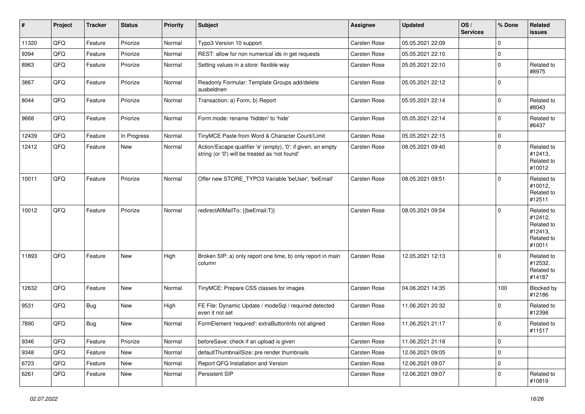| $\vert$ # | Project | <b>Tracker</b> | <b>Status</b> | <b>Priority</b> | <b>Subject</b>                                                                                                 | <b>Assignee</b>     | <b>Updated</b>   | OS/<br><b>Services</b> | % Done      | Related<br><b>issues</b>                                               |
|-----------|---------|----------------|---------------|-----------------|----------------------------------------------------------------------------------------------------------------|---------------------|------------------|------------------------|-------------|------------------------------------------------------------------------|
| 11320     | QFQ     | Feature        | Priorize      | Normal          | Typo3 Version 10 support                                                                                       | Carsten Rose        | 05.05.2021 22:09 |                        | 0           |                                                                        |
| 9394      | QFQ     | Feature        | Priorize      | Normal          | REST: allow for non numerical ids in get requests                                                              | Carsten Rose        | 05.05.2021 22:10 |                        | $\mathbf 0$ |                                                                        |
| 8963      | QFQ     | Feature        | Priorize      | Normal          | Setting values in a store: flexible way                                                                        | Carsten Rose        | 05.05.2021 22:10 |                        | 0           | Related to<br>#8975                                                    |
| 3867      | QFQ     | Feature        | Priorize      | Normal          | Readonly Formular: Template Groups add/delete<br>ausbeldnen                                                    | Carsten Rose        | 05.05.2021 22:12 |                        | $\mathbf 0$ |                                                                        |
| 8044      | QFQ     | Feature        | Priorize      | Normal          | Transaction: a) Form, b) Report                                                                                | Carsten Rose        | 05.05.2021 22:14 |                        | 0           | Related to<br>#8043                                                    |
| 9668      | QFQ     | Feature        | Priorize      | Normal          | Form.mode: rename 'hidden' to 'hide'                                                                           | Carsten Rose        | 05.05.2021 22:14 |                        | $\Omega$    | Related to<br>#6437                                                    |
| 12439     | QFQ     | Feature        | In Progress   | Normal          | TinyMCE Paste from Word & Character Count/Limit                                                                | Carsten Rose        | 05.05.2021 22:15 |                        | $\mathbf 0$ |                                                                        |
| 12412     | QFQ     | Feature        | <b>New</b>    | Normal          | Action/Escape qualifier 'e' (empty), '0': if given, an empty<br>string (or '0') will be treated as 'not found' | Carsten Rose        | 08.05.2021 09:40 |                        | $\mathbf 0$ | Related to<br>#12413,<br>Related to<br>#10012                          |
| 10011     | QFQ     | Feature        | Priorize      | Normal          | Offer new STORE_TYPO3 Variable 'beUser', 'beEmail'                                                             | <b>Carsten Rose</b> | 08.05.2021 09:51 |                        | $\Omega$    | Related to<br>#10012,<br>Related to<br>#12511                          |
| 10012     | QFQ     | Feature        | Priorize      | Normal          | redirectAllMailTo: {{beEmail:T}}                                                                               | <b>Carsten Rose</b> | 08.05.2021 09:54 |                        | $\Omega$    | Related to<br>#12412,<br>Related to<br>#12413,<br>Related to<br>#10011 |
| 11893     | QFQ     | Feature        | <b>New</b>    | High            | Broken SIP: a) only report one time, b) only report in main<br>column                                          | <b>Carsten Rose</b> | 12.05.2021 12:13 |                        | $\Omega$    | Related to<br>#12532,<br>Related to<br>#14187                          |
| 12632     | QFQ     | Feature        | New           | Normal          | TinyMCE: Prepare CSS classes for images                                                                        | Carsten Rose        | 04.06.2021 14:35 |                        | 100         | Blocked by<br>#12186                                                   |
| 9531      | QFQ     | <b>Bug</b>     | <b>New</b>    | High            | FE File: Dynamic Update / modeSql / required detected<br>even it not set                                       | Carsten Rose        | 11.06.2021 20:32 |                        | 0           | Related to<br>#12398                                                   |
| 7890      | QFQ     | <b>Bug</b>     | <b>New</b>    | Normal          | FormElement 'required': extraButtonInfo not aligned                                                            | Carsten Rose        | 11.06.2021 21:17 |                        | $\Omega$    | Related to<br>#11517                                                   |
| 9346      | QFQ     | Feature        | Priorize      | Normal          | beforeSave: check if an upload is given                                                                        | Carsten Rose        | 11.06.2021 21:18 |                        | 0           |                                                                        |
| 9348      | QFQ     | Feature        | New           | Normal          | defaultThumbnailSize: pre render thumbnails                                                                    | Carsten Rose        | 12.06.2021 09:05 |                        | 0           |                                                                        |
| 6723      | QFQ     | Feature        | New           | Normal          | Report QFQ Installation and Version                                                                            | Carsten Rose        | 12.06.2021 09:07 |                        | 0           |                                                                        |
| 6261      | QFQ     | Feature        | New           | Normal          | Persistent SIP                                                                                                 | Carsten Rose        | 12.06.2021 09:07 |                        | 0           | Related to<br>#10819                                                   |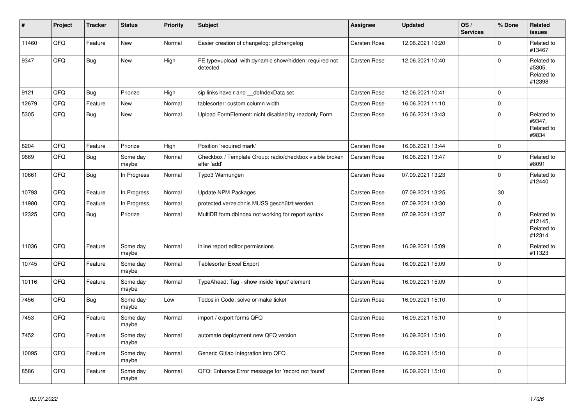| #     | Project | <b>Tracker</b> | <b>Status</b>     | <b>Priority</b> | <b>Subject</b>                                                          | Assignee            | <b>Updated</b>   | OS/<br><b>Services</b> | % Done      | <b>Related</b><br>issues                      |
|-------|---------|----------------|-------------------|-----------------|-------------------------------------------------------------------------|---------------------|------------------|------------------------|-------------|-----------------------------------------------|
| 11460 | QFQ     | Feature        | New               | Normal          | Easier creation of changelog: gitchangelog                              | Carsten Rose        | 12.06.2021 10:20 |                        | $\mathbf 0$ | Related to<br>#13467                          |
| 9347  | QFQ     | Bug            | New               | High            | FE.type=upload with dynamic show/hidden: required not<br>detected       | Carsten Rose        | 12.06.2021 10:40 |                        | $\mathbf 0$ | Related to<br>#5305,<br>Related to<br>#12398  |
| 9121  | QFQ     | Bug            | Priorize          | High            | sip links have r and dblndexData set                                    | Carsten Rose        | 12.06.2021 10:41 |                        | $\mathbf 0$ |                                               |
| 12679 | QFQ     | Feature        | New               | Normal          | tablesorter: custom column width                                        | Carsten Rose        | 16.06.2021 11:10 |                        | $\pmb{0}$   |                                               |
| 5305  | QFQ     | Bug            | New               | Normal          | Upload FormElement: nicht disabled by readonly Form                     | Carsten Rose        | 16.06.2021 13:43 |                        | $\mathbf 0$ | Related to<br>#9347,<br>Related to<br>#9834   |
| 8204  | QFQ     | Feature        | Priorize          | High            | Position 'required mark'                                                | Carsten Rose        | 16.06.2021 13:44 |                        | $\pmb{0}$   |                                               |
| 9669  | QFQ     | <b>Bug</b>     | Some day<br>maybe | Normal          | Checkbox / Template Group: radio/checkbox visible broken<br>after 'add' | Carsten Rose        | 16.06.2021 13:47 |                        | $\pmb{0}$   | Related to<br>#8091                           |
| 10661 | QFQ     | Bug            | In Progress       | Normal          | Typo3 Warnungen                                                         | Carsten Rose        | 07.09.2021 13:23 |                        | $\mathbf 0$ | Related to<br>#12440                          |
| 10793 | QFQ     | Feature        | In Progress       | Normal          | <b>Update NPM Packages</b>                                              | <b>Carsten Rose</b> | 07.09.2021 13:25 |                        | 30          |                                               |
| 11980 | QFQ     | Feature        | In Progress       | Normal          | protected verzeichnis MUSS geschützt werden                             | Carsten Rose        | 07.09.2021 13:30 |                        | $\mathsf 0$ |                                               |
| 12325 | QFQ     | Bug            | Priorize          | Normal          | MultiDB form.dblndex not working for report syntax                      | Carsten Rose        | 07.09.2021 13:37 |                        | $\mathbf 0$ | Related to<br>#12145,<br>Related to<br>#12314 |
| 11036 | QFQ     | Feature        | Some day<br>maybe | Normal          | inline report editor permissions                                        | <b>Carsten Rose</b> | 16.09.2021 15:09 |                        | $\pmb{0}$   | Related to<br>#11323                          |
| 10745 | QFQ     | Feature        | Some day<br>maybe | Normal          | <b>Tablesorter Excel Export</b>                                         | Carsten Rose        | 16.09.2021 15:09 |                        | $\pmb{0}$   |                                               |
| 10116 | QFQ     | Feature        | Some day<br>maybe | Normal          | TypeAhead: Tag - show inside 'input' element                            | Carsten Rose        | 16.09.2021 15:09 |                        | $\mathbf 0$ |                                               |
| 7456  | QFQ     | <b>Bug</b>     | Some day<br>maybe | Low             | Todos in Code: solve or make ticket                                     | Carsten Rose        | 16.09.2021 15:10 |                        | $\pmb{0}$   |                                               |
| 7453  | QFQ     | Feature        | Some day<br>maybe | Normal          | import / export forms QFQ                                               | Carsten Rose        | 16.09.2021 15:10 |                        | $\mathbf 0$ |                                               |
| 7452  | QFQ     | Feature        | Some day<br>maybe | Normal          | automate deployment new QFQ version                                     | Carsten Rose        | 16.09.2021 15:10 |                        | 0           |                                               |
| 10095 | QFQ     | Feature        | Some day<br>maybe | Normal          | Generic Gitlab Integration into QFQ                                     | Carsten Rose        | 16.09.2021 15:10 |                        | $\pmb{0}$   |                                               |
| 8586  | QFQ     | Feature        | Some day<br>maybe | Normal          | QFQ: Enhance Error message for 'record not found'                       | Carsten Rose        | 16.09.2021 15:10 |                        | $\mathbf 0$ |                                               |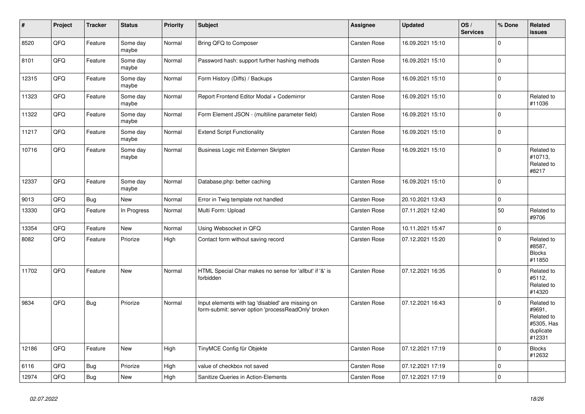| #     | Project | <b>Tracker</b> | <b>Status</b>     | <b>Priority</b> | <b>Subject</b>                                                                                           | <b>Assignee</b>     | <b>Updated</b>   | OS/<br><b>Services</b> | % Done      | Related<br>issues                                                       |
|-------|---------|----------------|-------------------|-----------------|----------------------------------------------------------------------------------------------------------|---------------------|------------------|------------------------|-------------|-------------------------------------------------------------------------|
| 8520  | QFQ     | Feature        | Some day<br>maybe | Normal          | Bring QFQ to Composer                                                                                    | Carsten Rose        | 16.09.2021 15:10 |                        | $\Omega$    |                                                                         |
| 8101  | QFQ     | Feature        | Some day<br>maybe | Normal          | Password hash: support further hashing methods                                                           | Carsten Rose        | 16.09.2021 15:10 |                        | $\pmb{0}$   |                                                                         |
| 12315 | QFQ     | Feature        | Some day<br>maybe | Normal          | Form History (Diffs) / Backups                                                                           | Carsten Rose        | 16.09.2021 15:10 |                        | $\mathbf 0$ |                                                                         |
| 11323 | QFQ     | Feature        | Some day<br>maybe | Normal          | Report Frontend Editor Modal + Codemirror                                                                | Carsten Rose        | 16.09.2021 15:10 |                        | $\mathbf 0$ | Related to<br>#11036                                                    |
| 11322 | QFQ     | Feature        | Some day<br>maybe | Normal          | Form Element JSON - (multiline parameter field)                                                          | <b>Carsten Rose</b> | 16.09.2021 15:10 |                        | $\mathbf 0$ |                                                                         |
| 11217 | QFQ     | Feature        | Some day<br>maybe | Normal          | <b>Extend Script Functionality</b>                                                                       | Carsten Rose        | 16.09.2021 15:10 |                        | $\mathbf 0$ |                                                                         |
| 10716 | QFQ     | Feature        | Some day<br>maybe | Normal          | Business Logic mit Externen Skripten                                                                     | Carsten Rose        | 16.09.2021 15:10 |                        | $\mathbf 0$ | Related to<br>#10713,<br>Related to<br>#8217                            |
| 12337 | QFQ     | Feature        | Some day<br>maybe | Normal          | Database.php: better caching                                                                             | Carsten Rose        | 16.09.2021 15:10 |                        | $\mathbf 0$ |                                                                         |
| 9013  | QFQ     | <b>Bug</b>     | <b>New</b>        | Normal          | Error in Twig template not handled                                                                       | Carsten Rose        | 20.10.2021 13:43 |                        | $\pmb{0}$   |                                                                         |
| 13330 | QFQ     | Feature        | In Progress       | Normal          | Multi Form: Upload                                                                                       | Carsten Rose        | 07.11.2021 12:40 |                        | 50          | Related to<br>#9706                                                     |
| 13354 | QFQ     | Feature        | New               | Normal          | Using Websocket in QFQ                                                                                   | Carsten Rose        | 10.11.2021 15:47 |                        | $\pmb{0}$   |                                                                         |
| 8082  | QFQ     | Feature        | Priorize          | High            | Contact form without saving record                                                                       | Carsten Rose        | 07.12.2021 15:20 |                        | $\mathbf 0$ | Related to<br>#8587,<br><b>Blocks</b><br>#11850                         |
| 11702 | QFQ     | Feature        | <b>New</b>        | Normal          | HTML Special Char makes no sense for 'allbut' if '&' is<br>forbidden                                     | <b>Carsten Rose</b> | 07.12.2021 16:35 |                        | $\mathbf 0$ | Related to<br>#5112,<br>Related to<br>#14320                            |
| 9834  | QFQ     | Bug            | Priorize          | Normal          | Input elements with tag 'disabled' are missing on<br>form-submit: server option 'processReadOnly' broken | Carsten Rose        | 07.12.2021 16:43 |                        | $\mathbf 0$ | Related to<br>#9691,<br>Related to<br>#5305, Has<br>duplicate<br>#12331 |
| 12186 | QFQ     | Feature        | <b>New</b>        | High            | TinyMCE Config für Objekte                                                                               | Carsten Rose        | 07.12.2021 17:19 |                        | $\mathbf 0$ | <b>Blocks</b><br>#12632                                                 |
| 6116  | QFQ     | <b>Bug</b>     | Priorize          | High            | value of checkbox not saved                                                                              | <b>Carsten Rose</b> | 07.12.2021 17:19 |                        | $\mathbf 0$ |                                                                         |
| 12974 | QFQ     | <b>Bug</b>     | <b>New</b>        | High            | Sanitize Queries in Action-Elements                                                                      | <b>Carsten Rose</b> | 07.12.2021 17:19 |                        | $\mathbf 0$ |                                                                         |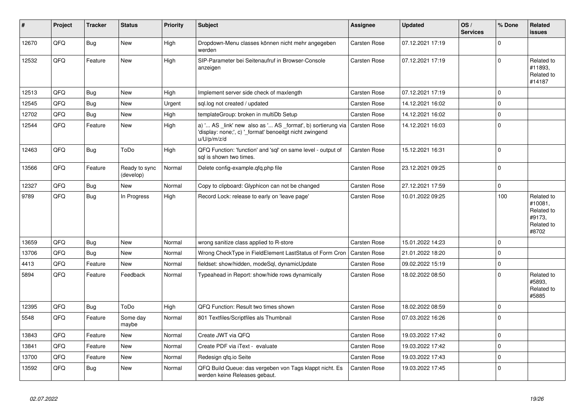| #     | Project | <b>Tracker</b> | <b>Status</b>              | <b>Priority</b> | <b>Subject</b>                                                                                                                                     | <b>Assignee</b>     | <b>Updated</b>   | OS/<br><b>Services</b> | % Done      | <b>Related</b><br><b>issues</b>                                      |
|-------|---------|----------------|----------------------------|-----------------|----------------------------------------------------------------------------------------------------------------------------------------------------|---------------------|------------------|------------------------|-------------|----------------------------------------------------------------------|
| 12670 | QFQ     | <b>Bug</b>     | <b>New</b>                 | High            | Dropdown-Menu classes können nicht mehr angegeben<br>werden                                                                                        | Carsten Rose        | 07.12.2021 17:19 |                        | $\mathbf 0$ |                                                                      |
| 12532 | QFQ     | Feature        | <b>New</b>                 | High            | SIP-Parameter bei Seitenaufruf in Browser-Console<br>anzeigen                                                                                      | Carsten Rose        | 07.12.2021 17:19 |                        | $\Omega$    | Related to<br>#11893,<br>Related to<br>#14187                        |
| 12513 | QFQ     | <b>Bug</b>     | <b>New</b>                 | High            | Implement server side check of maxlength                                                                                                           | Carsten Rose        | 07.12.2021 17:19 |                        | $\mathbf 0$ |                                                                      |
| 12545 | QFQ     | <b>Bug</b>     | <b>New</b>                 | Urgent          | sql.log not created / updated                                                                                                                      | Carsten Rose        | 14.12.2021 16:02 |                        | $\pmb{0}$   |                                                                      |
| 12702 | QFQ     | Bug            | <b>New</b>                 | High            | templateGroup: broken in multiDb Setup                                                                                                             | Carsten Rose        | 14.12.2021 16:02 |                        | $\mathbf 0$ |                                                                      |
| 12544 | QFQ     | Feature        | New                        | High            | a) ' AS _link' new also as ' AS _format', b) sortierung via Carsten Rose<br>'display: none;', c) '_format' benoeitgt nicht zwingend<br>u/U/p/m/z/d |                     | 14.12.2021 16:03 |                        | $\pmb{0}$   |                                                                      |
| 12463 | QFQ     | <b>Bug</b>     | ToDo                       | High            | QFQ Function: 'function' and 'sql' on same level - output of<br>sql is shown two times.                                                            | Carsten Rose        | 15.12.2021 16:31 |                        | $\mathbf 0$ |                                                                      |
| 13566 | QFQ     | Feature        | Ready to sync<br>(develop) | Normal          | Delete config-example.gfg.php file                                                                                                                 | <b>Carsten Rose</b> | 23.12.2021 09:25 |                        | $\mathbf 0$ |                                                                      |
| 12327 | QFQ     | Bug            | New                        | Normal          | Copy to clipboard: Glyphicon can not be changed                                                                                                    | Carsten Rose        | 27.12.2021 17:59 |                        | $\mathbf 0$ |                                                                      |
| 9789  | QFQ     | Bug            | In Progress                | High            | Record Lock: release to early on 'leave page'                                                                                                      | <b>Carsten Rose</b> | 10.01.2022 09:25 |                        | 100         | Related to<br>#10081,<br>Related to<br>#9173,<br>Related to<br>#8702 |
| 13659 | QFQ     | Bug            | New                        | Normal          | wrong sanitize class applied to R-store                                                                                                            | Carsten Rose        | 15.01.2022 14:23 |                        | $\mathbf 0$ |                                                                      |
| 13706 | QFQ     | <b>Bug</b>     | <b>New</b>                 | Normal          | Wrong CheckType in FieldElement LastStatus of Form Cron                                                                                            | <b>Carsten Rose</b> | 21.01.2022 18:20 |                        | $\mathbf 0$ |                                                                      |
| 4413  | QFQ     | Feature        | <b>New</b>                 | Normal          | fieldset: show/hidden, modeSql, dynamicUpdate                                                                                                      | <b>Carsten Rose</b> | 09.02.2022 15:19 |                        | $\mathbf 0$ |                                                                      |
| 5894  | QFQ     | Feature        | Feedback                   | Normal          | Typeahead in Report: show/hide rows dynamically                                                                                                    | <b>Carsten Rose</b> | 18.02.2022 08:50 |                        | $\mathbf 0$ | Related to<br>#5893.<br>Related to<br>#5885                          |
| 12395 | QFQ     | Bug            | ToDo                       | High            | QFQ Function: Result two times shown                                                                                                               | Carsten Rose        | 18.02.2022 08:59 |                        | $\mathbf 0$ |                                                                      |
| 5548  | QFQ     | Feature        | Some day<br>maybe          | Normal          | 801 Textfiles/Scriptfiles als Thumbnail                                                                                                            | <b>Carsten Rose</b> | 07.03.2022 16:26 |                        | $\mathbf 0$ |                                                                      |
| 13843 | QFQ     | Feature        | New                        | Normal          | Create JWT via QFQ                                                                                                                                 | <b>Carsten Rose</b> | 19.03.2022 17:42 |                        | $\mathbf 0$ |                                                                      |
| 13841 | QFQ     | Feature        | New                        | Normal          | Create PDF via iText - evaluate                                                                                                                    | Carsten Rose        | 19.03.2022 17:42 |                        | $\mathbf 0$ |                                                                      |
| 13700 | QFQ     | Feature        | New                        | Normal          | Redesign qfq.io Seite                                                                                                                              | Carsten Rose        | 19.03.2022 17:43 |                        | $\mathbf 0$ |                                                                      |
| 13592 | QFQ     | Bug            | New                        | Normal          | QFQ Build Queue: das vergeben von Tags klappt nicht. Es<br>werden keine Releases gebaut.                                                           | <b>Carsten Rose</b> | 19.03.2022 17:45 |                        | $\mathbf 0$ |                                                                      |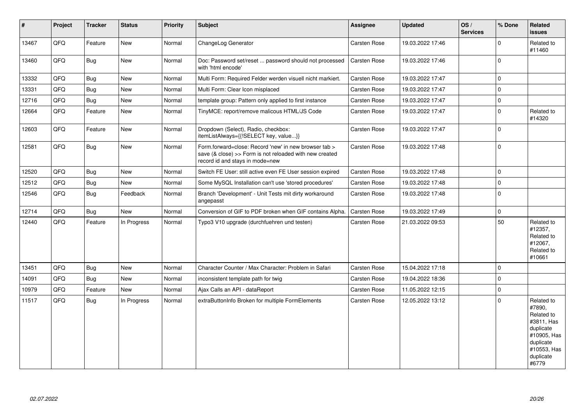| $\vert$ # | Project | <b>Tracker</b> | <b>Status</b> | <b>Priority</b> | <b>Subject</b>                                                                                                                                      | Assignee            | <b>Updated</b>   | OS/<br><b>Services</b> | % Done      | Related<br><b>issues</b>                                                                                                       |
|-----------|---------|----------------|---------------|-----------------|-----------------------------------------------------------------------------------------------------------------------------------------------------|---------------------|------------------|------------------------|-------------|--------------------------------------------------------------------------------------------------------------------------------|
| 13467     | QFQ     | Feature        | New           | Normal          | ChangeLog Generator                                                                                                                                 | <b>Carsten Rose</b> | 19.03.2022 17:46 |                        | $\Omega$    | Related to<br>#11460                                                                                                           |
| 13460     | QFQ     | <b>Bug</b>     | New           | Normal          | Doc: Password set/reset  password should not processed<br>with 'html encode'                                                                        | <b>Carsten Rose</b> | 19.03.2022 17:46 |                        | $\Omega$    |                                                                                                                                |
| 13332     | QFQ     | <b>Bug</b>     | New           | Normal          | Multi Form: Required Felder werden visuell nicht markiert.                                                                                          | Carsten Rose        | 19.03.2022 17:47 |                        | $\Omega$    |                                                                                                                                |
| 13331     | QFQ     | Bug            | New           | Normal          | Multi Form: Clear Icon misplaced                                                                                                                    | Carsten Rose        | 19.03.2022 17:47 |                        | $\mathbf 0$ |                                                                                                                                |
| 12716     | QFQ     | <b>Bug</b>     | New           | Normal          | template group: Pattern only applied to first instance                                                                                              | <b>Carsten Rose</b> | 19.03.2022 17:47 |                        | $\mathbf 0$ |                                                                                                                                |
| 12664     | QFQ     | Feature        | New           | Normal          | TinyMCE: report/remove malicous HTML/JS Code                                                                                                        | Carsten Rose        | 19.03.2022 17:47 |                        | $\mathbf 0$ | Related to<br>#14320                                                                                                           |
| 12603     | QFQ     | Feature        | New           | Normal          | Dropdown (Select), Radio, checkbox:<br>itemListAlways={{!SELECT key, value}}                                                                        | <b>Carsten Rose</b> | 19.03.2022 17:47 |                        | $\mathbf 0$ |                                                                                                                                |
| 12581     | QFQ     | <b>Bug</b>     | New           | Normal          | Form.forward=close: Record 'new' in new browser tab ><br>save (& close) >> Form is not reloaded with new created<br>record id and stays in mode=new | <b>Carsten Rose</b> | 19.03.2022 17:48 |                        | $\mathbf 0$ |                                                                                                                                |
| 12520     | QFQ     | Bug            | New           | Normal          | Switch FE User: still active even FE User session expired                                                                                           | <b>Carsten Rose</b> | 19.03.2022 17:48 |                        | $\mathbf 0$ |                                                                                                                                |
| 12512     | QFQ     | <b>Bug</b>     | New           | Normal          | Some MySQL Installation can't use 'stored procedures'                                                                                               | Carsten Rose        | 19.03.2022 17:48 |                        | $\Omega$    |                                                                                                                                |
| 12546     | QFQ     | Bug            | Feedback      | Normal          | Branch 'Development' - Unit Tests mit dirty workaround<br>angepasst                                                                                 | <b>Carsten Rose</b> | 19.03.2022 17:48 |                        | $\mathbf 0$ |                                                                                                                                |
| 12714     | QFQ     | Bug            | New           | Normal          | Conversion of GIF to PDF broken when GIF contains Alpha.                                                                                            | Carsten Rose        | 19.03.2022 17:49 |                        | $\mathbf 0$ |                                                                                                                                |
| 12440     | QFQ     | Feature        | In Progress   | Normal          | Typo3 V10 upgrade (durchfuehren und testen)                                                                                                         | Carsten Rose        | 21.03.2022 09:53 |                        | 50          | Related to<br>#12357,<br>Related to<br>#12067,<br>Related to<br>#10661                                                         |
| 13451     | QFQ     | Bug            | New           | Normal          | Character Counter / Max Character: Problem in Safari                                                                                                | <b>Carsten Rose</b> | 15.04.2022 17:18 |                        | $\mathbf 0$ |                                                                                                                                |
| 14091     | QFQ     | <b>Bug</b>     | New           | Normal          | inconsistent template path for twig                                                                                                                 | <b>Carsten Rose</b> | 19.04.2022 18:36 |                        | $\mathbf 0$ |                                                                                                                                |
| 10979     | QFQ     | Feature        | New           | Normal          | Ajax Calls an API - dataReport                                                                                                                      | Carsten Rose        | 11.05.2022 12:15 |                        | $\mathbf 0$ |                                                                                                                                |
| 11517     | QFQ     | Bug            | In Progress   | Normal          | extraButtonInfo Broken for multiple FormElements                                                                                                    | <b>Carsten Rose</b> | 12.05.2022 13:12 |                        | $\mathbf 0$ | Related to<br>#7890,<br>Related to<br>#3811, Has<br>duplicate<br>#10905, Has<br>duplicate<br>#10553, Has<br>duplicate<br>#6779 |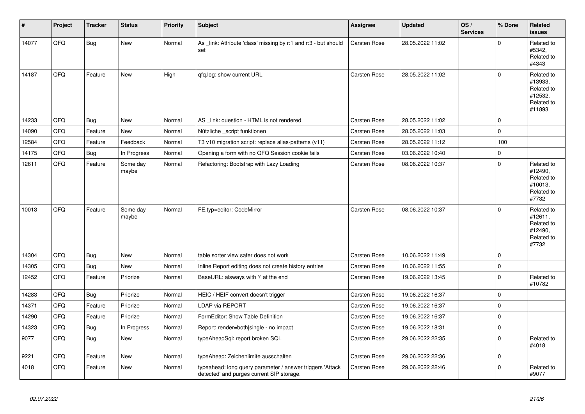| #     | Project | <b>Tracker</b> | <b>Status</b>     | <b>Priority</b> | <b>Subject</b>                                                                                         | Assignee            | <b>Updated</b>   | OS/<br><b>Services</b> | % Done      | Related<br><b>issues</b>                                               |
|-------|---------|----------------|-------------------|-----------------|--------------------------------------------------------------------------------------------------------|---------------------|------------------|------------------------|-------------|------------------------------------------------------------------------|
| 14077 | QFQ     | <b>Bug</b>     | <b>New</b>        | Normal          | As _link: Attribute 'class' missing by r:1 and r:3 - but should<br>set                                 | Carsten Rose        | 28.05.2022 11:02 |                        | $\mathbf 0$ | Related to<br>#5342,<br>Related to<br>#4343                            |
| 14187 | QFQ     | Feature        | <b>New</b>        | High            | gfg.log: show current URL                                                                              | <b>Carsten Rose</b> | 28.05.2022 11:02 |                        | $\mathbf 0$ | Related to<br>#13933,<br>Related to<br>#12532,<br>Related to<br>#11893 |
| 14233 | QFQ     | <b>Bug</b>     | <b>New</b>        | Normal          | AS_link: question - HTML is not rendered                                                               | Carsten Rose        | 28.05.2022 11:02 |                        | $\pmb{0}$   |                                                                        |
| 14090 | QFQ     | Feature        | New               | Normal          | Nützliche script funktionen                                                                            | Carsten Rose        | 28.05.2022 11:03 |                        | $\mathbf 0$ |                                                                        |
| 12584 | QFQ     | Feature        | Feedback          | Normal          | T3 v10 migration script: replace alias-patterns (v11)                                                  | Carsten Rose        | 28.05.2022 11:12 |                        | 100         |                                                                        |
| 14175 | QFQ     | <b>Bug</b>     | In Progress       | Normal          | Opening a form with no QFQ Session cookie fails                                                        | <b>Carsten Rose</b> | 03.06.2022 10:40 |                        | $\mathbf 0$ |                                                                        |
| 12611 | QFQ     | Feature        | Some day<br>maybe | Normal          | Refactoring: Bootstrap with Lazy Loading                                                               | Carsten Rose        | 08.06.2022 10:37 |                        | $\mathbf 0$ | Related to<br>#12490.<br>Related to<br>#10013,<br>Related to<br>#7732  |
| 10013 | QFQ     | Feature        | Some day<br>maybe | Normal          | FE.typ=editor: CodeMirror                                                                              | <b>Carsten Rose</b> | 08.06.2022 10:37 |                        | $\mathbf 0$ | Related to<br>#12611,<br>Related to<br>#12490,<br>Related to<br>#7732  |
| 14304 | QFQ     | <b>Bug</b>     | <b>New</b>        | Normal          | table sorter view safer does not work                                                                  | Carsten Rose        | 10.06.2022 11:49 |                        | $\pmb{0}$   |                                                                        |
| 14305 | QFQ     | Bug            | <b>New</b>        | Normal          | Inline Report editing does not create history entries                                                  | Carsten Rose        | 10.06.2022 11:55 |                        | $\pmb{0}$   |                                                                        |
| 12452 | QFQ     | Feature        | Priorize          | Normal          | BaseURL: alsways with '/' at the end                                                                   | Carsten Rose        | 19.06.2022 13:45 |                        | $\mathbf 0$ | Related to<br>#10782                                                   |
| 14283 | QFQ     | Bug            | Priorize          | Normal          | HEIC / HEIF convert doesn't trigger                                                                    | Carsten Rose        | 19.06.2022 16:37 |                        | $\mathbf 0$ |                                                                        |
| 14371 | QFQ     | Feature        | Priorize          | Normal          | LDAP via REPORT                                                                                        | Carsten Rose        | 19.06.2022 16:37 |                        | $\pmb{0}$   |                                                                        |
| 14290 | QFQ     | Feature        | Priorize          | Normal          | FormEditor: Show Table Definition                                                                      | <b>Carsten Rose</b> | 19.06.2022 16:37 |                        | $\mathbf 0$ |                                                                        |
| 14323 | QFQ     | <b>Bug</b>     | In Progress       | Normal          | Report: render=both single - no impact                                                                 | Carsten Rose        | 19.06.2022 18:31 |                        | $\pmb{0}$   |                                                                        |
| 9077  | QFQ     | Bug            | <b>New</b>        | Normal          | typeAheadSql: report broken SQL                                                                        | Carsten Rose        | 29.06.2022 22:35 |                        | $\mathbf 0$ | Related to<br>#4018                                                    |
| 9221  | QFQ     | Feature        | <b>New</b>        | Normal          | typeAhead: Zeichenlimite ausschalten                                                                   | Carsten Rose        | 29.06.2022 22:36 |                        | $\mathbf 0$ |                                                                        |
| 4018  | QFQ     | Feature        | New               | Normal          | typeahead: long query parameter / answer triggers 'Attack<br>detected' and purges current SIP storage. | Carsten Rose        | 29.06.2022 22:46 |                        | $\mathbf 0$ | Related to<br>#9077                                                    |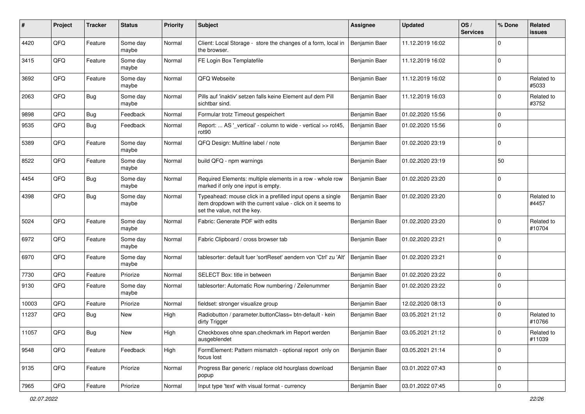| $\#$  | Project | <b>Tracker</b> | <b>Status</b>     | <b>Priority</b> | <b>Subject</b>                                                                                                                                           | <b>Assignee</b> | <b>Updated</b>   | OS/<br><b>Services</b> | % Done      | Related<br><b>issues</b> |
|-------|---------|----------------|-------------------|-----------------|----------------------------------------------------------------------------------------------------------------------------------------------------------|-----------------|------------------|------------------------|-------------|--------------------------|
| 4420  | QFQ     | Feature        | Some day<br>maybe | Normal          | Client: Local Storage - store the changes of a form, local in<br>the browser.                                                                            | Benjamin Baer   | 11.12.2019 16:02 |                        | $\Omega$    |                          |
| 3415  | QFQ     | Feature        | Some day<br>maybe | Normal          | FE Login Box Templatefile                                                                                                                                | Benjamin Baer   | 11.12.2019 16:02 |                        | $\mathbf 0$ |                          |
| 3692  | QFQ     | Feature        | Some day<br>maybe | Normal          | QFQ Webseite                                                                                                                                             | Benjamin Baer   | 11.12.2019 16:02 |                        | $\mathbf 0$ | Related to<br>#5033      |
| 2063  | QFQ     | <b>Bug</b>     | Some day<br>maybe | Normal          | Pills auf 'inaktiv' setzen falls keine Element auf dem Pill<br>sichtbar sind.                                                                            | Benjamin Baer   | 11.12.2019 16:03 |                        | $\mathbf 0$ | Related to<br>#3752      |
| 9898  | QFQ     | <b>Bug</b>     | Feedback          | Normal          | Formular trotz Timeout gespeichert                                                                                                                       | Benjamin Baer   | 01.02.2020 15:56 |                        | $\mathbf 0$ |                          |
| 9535  | QFQ     | <b>Bug</b>     | Feedback          | Normal          | Report:  AS '_vertical' - column to wide - vertical >> rot45,<br>rot90                                                                                   | Benjamin Baer   | 01.02.2020 15:56 |                        | $\mathbf 0$ |                          |
| 5389  | QFQ     | Feature        | Some day<br>maybe | Normal          | QFQ Design: Multline label / note                                                                                                                        | Benjamin Baer   | 01.02.2020 23:19 |                        | $\mathbf 0$ |                          |
| 8522  | QFQ     | Feature        | Some day<br>maybe | Normal          | build QFQ - npm warnings                                                                                                                                 | Benjamin Baer   | 01.02.2020 23:19 |                        | 50          |                          |
| 4454  | QFQ     | <b>Bug</b>     | Some day<br>maybe | Normal          | Required Elements: multiple elements in a row - whole row<br>marked if only one input is empty.                                                          | Benjamin Baer   | 01.02.2020 23:20 |                        | $\mathbf 0$ |                          |
| 4398  | QFQ     | <b>Bug</b>     | Some day<br>maybe | Normal          | Typeahead: mouse click in a prefilled input opens a single<br>item dropdown with the current value - click on it seems to<br>set the value, not the key. | Benjamin Baer   | 01.02.2020 23:20 |                        | $\mathbf 0$ | Related to<br>#4457      |
| 5024  | QFQ     | Feature        | Some day<br>maybe | Normal          | Fabric: Generate PDF with edits                                                                                                                          | Benjamin Baer   | 01.02.2020 23:20 |                        | $\mathbf 0$ | Related to<br>#10704     |
| 6972  | QFQ     | Feature        | Some day<br>maybe | Normal          | Fabric Clipboard / cross browser tab                                                                                                                     | Benjamin Baer   | 01.02.2020 23:21 |                        | $\mathbf 0$ |                          |
| 6970  | QFQ     | Feature        | Some day<br>maybe | Normal          | tablesorter: default fuer 'sortReset' aendern von 'Ctrl' zu 'Alt'                                                                                        | Benjamin Baer   | 01.02.2020 23:21 |                        | $\mathbf 0$ |                          |
| 7730  | QFQ     | Feature        | Priorize          | Normal          | SELECT Box: title in between                                                                                                                             | Benjamin Baer   | 01.02.2020 23:22 |                        | $\mathbf 0$ |                          |
| 9130  | QFQ     | Feature        | Some day<br>maybe | Normal          | tablesorter: Automatic Row numbering / Zeilenummer                                                                                                       | Benjamin Baer   | 01.02.2020 23:22 |                        | $\mathbf 0$ |                          |
| 10003 | QFQ     | Feature        | Priorize          | Normal          | fieldset: stronger visualize group                                                                                                                       | Benjamin Baer   | 12.02.2020 08:13 |                        | $\mathbf 0$ |                          |
| 11237 | QFQ     | <b>Bug</b>     | New               | High            | Radiobutton / parameter.buttonClass= btn-default - kein<br>dirty Trigger                                                                                 | Benjamin Baer   | 03.05.2021 21:12 |                        | $\mathbf 0$ | Related to<br>#10766     |
| 11057 | QFQ     | <b>Bug</b>     | New               | High            | Checkboxes ohne span.checkmark im Report werden<br>ausgeblendet                                                                                          | Benjamin Baer   | 03.05.2021 21:12 |                        | $\pmb{0}$   | Related to<br>#11039     |
| 9548  | QFQ     | Feature        | Feedback          | High            | FormElement: Pattern mismatch - optional report only on<br>focus lost                                                                                    | Benjamin Baer   | 03.05.2021 21:14 |                        | $\mathbf 0$ |                          |
| 9135  | QFQ     | Feature        | Priorize          | Normal          | Progress Bar generic / replace old hourglass download<br>popup                                                                                           | Benjamin Baer   | 03.01.2022 07:43 |                        | $\pmb{0}$   |                          |
| 7965  | QFQ     | Feature        | Priorize          | Normal          | Input type 'text' with visual format - currency                                                                                                          | Benjamin Baer   | 03.01.2022 07:45 |                        | 0           |                          |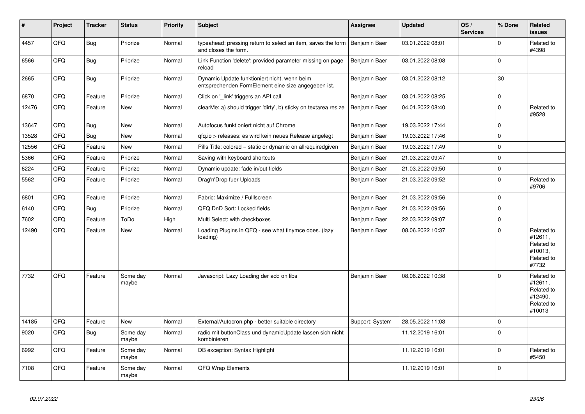| $\vert$ # | Project | <b>Tracker</b> | <b>Status</b>     | <b>Priority</b> | <b>Subject</b>                                                                                      | Assignee        | <b>Updated</b>   | OS/<br><b>Services</b> | % Done      | Related<br><b>issues</b>                                               |
|-----------|---------|----------------|-------------------|-----------------|-----------------------------------------------------------------------------------------------------|-----------------|------------------|------------------------|-------------|------------------------------------------------------------------------|
| 4457      | QFQ     | <b>Bug</b>     | Priorize          | Normal          | typeahead: pressing return to select an item, saves the form<br>and closes the form.                | Benjamin Baer   | 03.01.2022 08:01 |                        | $\Omega$    | Related to<br>#4398                                                    |
| 6566      | QFQ     | <b>Bug</b>     | Priorize          | Normal          | Link Function 'delete': provided parameter missing on page<br>reload                                | Benjamin Baer   | 03.01.2022 08:08 |                        | $\Omega$    |                                                                        |
| 2665      | QFQ     | Bug            | Priorize          | Normal          | Dynamic Update funktioniert nicht, wenn beim<br>entsprechenden FormElement eine size angegeben ist. | Benjamin Baer   | 03.01.2022 08:12 |                        | 30          |                                                                        |
| 6870      | QFQ     | Feature        | Priorize          | Normal          | Click on '_link' triggers an API call                                                               | Benjamin Baer   | 03.01.2022 08:25 |                        | $\mathbf 0$ |                                                                        |
| 12476     | QFQ     | Feature        | New               | Normal          | clearMe: a) should trigger 'dirty', b) sticky on textarea resize                                    | Benjamin Baer   | 04.01.2022 08:40 |                        | $\mathbf 0$ | Related to<br>#9528                                                    |
| 13647     | QFQ     | <b>Bug</b>     | New               | Normal          | Autofocus funktioniert nicht auf Chrome                                                             | Benjamin Baer   | 19.03.2022 17:44 |                        | $\mathbf 0$ |                                                                        |
| 13528     | QFQ     | Bug            | New               | Normal          | qfq.io > releases: es wird kein neues Release angelegt                                              | Benjamin Baer   | 19.03.2022 17:46 |                        | $\mathbf 0$ |                                                                        |
| 12556     | QFQ     | Feature        | New               | Normal          | Pills Title: colored = static or dynamic on allrequiredgiven                                        | Benjamin Baer   | 19.03.2022 17:49 |                        | $\mathbf 0$ |                                                                        |
| 5366      | QFQ     | Feature        | Priorize          | Normal          | Saving with keyboard shortcuts                                                                      | Benjamin Baer   | 21.03.2022 09:47 |                        | $\mathbf 0$ |                                                                        |
| 6224      | QFQ     | Feature        | Priorize          | Normal          | Dynamic update: fade in/out fields                                                                  | Benjamin Baer   | 21.03.2022 09:50 |                        | $\mathbf 0$ |                                                                        |
| 5562      | QFQ     | Feature        | Priorize          | Normal          | Drag'n'Drop fuer Uploads                                                                            | Benjamin Baer   | 21.03.2022 09:52 |                        | $\mathbf 0$ | Related to<br>#9706                                                    |
| 6801      | QFQ     | Feature        | Priorize          | Normal          | Fabric: Maximize / FullIscreen                                                                      | Benjamin Baer   | 21.03.2022 09:56 |                        | $\mathbf 0$ |                                                                        |
| 6140      | QFQ     | <b>Bug</b>     | Priorize          | Normal          | QFQ DnD Sort: Locked fields                                                                         | Benjamin Baer   | 21.03.2022 09:56 |                        | $\mathbf 0$ |                                                                        |
| 7602      | QFQ     | Feature        | ToDo              | High            | Multi Select: with checkboxes                                                                       | Benjamin Baer   | 22.03.2022 09:07 |                        | $\mathbf 0$ |                                                                        |
| 12490     | QFQ     | Feature        | New               | Normal          | Loading Plugins in QFQ - see what tinymce does. (lazy<br>loading)                                   | Benjamin Baer   | 08.06.2022 10:37 |                        | $\mathbf 0$ | Related to<br>#12611,<br>Related to<br>#10013,<br>Related to<br>#7732  |
| 7732      | QFQ     | Feature        | Some day<br>maybe | Normal          | Javascript: Lazy Loading der add on libs                                                            | Benjamin Baer   | 08.06.2022 10:38 |                        | $\Omega$    | Related to<br>#12611,<br>Related to<br>#12490,<br>Related to<br>#10013 |
| 14185     | QFQ     | Feature        | <b>New</b>        | Normal          | External/Autocron.php - better suitable directory                                                   | Support: System | 28.05.2022 11:03 |                        | $\mathbf 0$ |                                                                        |
| 9020      | QFQ     | Bug            | Some day<br>maybe | Normal          | radio mit buttonClass und dynamicUpdate lassen sich nicht<br>kombinieren                            |                 | 11.12.2019 16:01 |                        | $\mathbf 0$ |                                                                        |
| 6992      | QFQ     | Feature        | Some day<br>maybe | Normal          | DB exception: Syntax Highlight                                                                      |                 | 11.12.2019 16:01 |                        | $\mathbf 0$ | Related to<br>#5450                                                    |
| 7108      | QFQ     | Feature        | Some day<br>maybe | Normal          | QFQ Wrap Elements                                                                                   |                 | 11.12.2019 16:01 |                        | $\mathbf 0$ |                                                                        |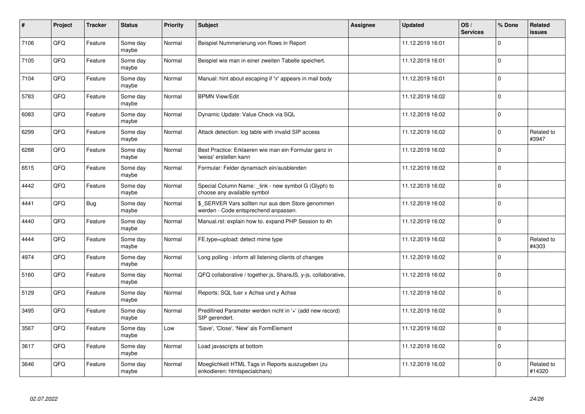| #    | Project | <b>Tracker</b> | <b>Status</b>     | <b>Priority</b> | <b>Subject</b>                                                                            | Assignee | <b>Updated</b>   | OS/<br><b>Services</b> | % Done      | Related<br><b>issues</b> |
|------|---------|----------------|-------------------|-----------------|-------------------------------------------------------------------------------------------|----------|------------------|------------------------|-------------|--------------------------|
| 7106 | QFQ     | Feature        | Some day<br>maybe | Normal          | Beispiel Nummerierung von Rows in Report                                                  |          | 11.12.2019 16:01 |                        | $\Omega$    |                          |
| 7105 | QFQ     | Feature        | Some day<br>maybe | Normal          | Beispiel wie man in einer zweiten Tabelle speichert.                                      |          | 11.12.2019 16:01 |                        | $\mathbf 0$ |                          |
| 7104 | QFQ     | Feature        | Some day<br>maybe | Normal          | Manual: hint about escaping if '\r' appears in mail body                                  |          | 11.12.2019 16:01 |                        | $\pmb{0}$   |                          |
| 5783 | QFQ     | Feature        | Some day<br>maybe | Normal          | <b>BPMN View/Edit</b>                                                                     |          | 11.12.2019 16:02 |                        | $\mathbf 0$ |                          |
| 6083 | QFQ     | Feature        | Some day<br>maybe | Normal          | Dynamic Update: Value Check via SQL                                                       |          | 11.12.2019 16:02 |                        | $\mathbf 0$ |                          |
| 6299 | QFQ     | Feature        | Some day<br>maybe | Normal          | Attack detection: log table with invalid SIP access                                       |          | 11.12.2019 16:02 |                        | $\mathbf 0$ | Related to<br>#3947      |
| 6288 | QFQ     | Feature        | Some day<br>maybe | Normal          | Best Practice: Erklaeren wie man ein Formular ganz in<br>'weiss' erstellen kann           |          | 11.12.2019 16:02 |                        | $\mathbf 0$ |                          |
| 6515 | QFQ     | Feature        | Some day<br>maybe | Normal          | Formular: Felder dynamisch ein/ausblenden                                                 |          | 11.12.2019 16:02 |                        | $\mathbf 0$ |                          |
| 4442 | QFQ     | Feature        | Some day<br>maybe | Normal          | Special Column Name: _link - new symbol G (Glyph) to<br>choose any available symbol       |          | 11.12.2019 16:02 |                        | $\mathbf 0$ |                          |
| 4441 | QFQ     | <b>Bug</b>     | Some day<br>maybe | Normal          | \$_SERVER Vars sollten nur aus dem Store genommen<br>werden - Code entsprechend anpassen. |          | 11.12.2019 16:02 |                        | $\mathbf 0$ |                          |
| 4440 | QFQ     | Feature        | Some day<br>maybe | Normal          | Manual.rst: explain how to. expand PHP Session to 4h                                      |          | 11.12.2019 16:02 |                        | $\mathbf 0$ |                          |
| 4444 | QFQ     | Feature        | Some day<br>maybe | Normal          | FE.type=upload: detect mime type                                                          |          | 11.12.2019 16:02 |                        | $\mathbf 0$ | Related to<br>#4303      |
| 4974 | QFQ     | Feature        | Some day<br>maybe | Normal          | Long polling - inform all listening clients of changes                                    |          | 11.12.2019 16:02 |                        | $\Omega$    |                          |
| 5160 | QFQ     | Feature        | Some day<br>maybe | Normal          | QFQ collaborative / together.js, ShareJS, y-js, collaborative,                            |          | 11.12.2019 16:02 |                        | $\mathbf 0$ |                          |
| 5129 | QFQ     | Feature        | Some day<br>maybe | Normal          | Reports: SQL fuer x Achse und y Achse                                                     |          | 11.12.2019 16:02 |                        | $\Omega$    |                          |
| 3495 | QFQ     | Feature        | Some day<br>maybe | Normal          | Predifined Parameter werden nicht in '+' (add new record)<br>SIP gerendert.               |          | 11.12.2019 16:02 |                        | $\mathbf 0$ |                          |
| 3567 | QFQ     | Feature        | Some day<br>maybe | Low             | 'Save', 'Close', 'New' als FormElement                                                    |          | 11.12.2019 16:02 |                        | $\Omega$    |                          |
| 3617 | QFQ     | Feature        | Some day<br>maybe | Normal          | Load javascripts at bottom                                                                |          | 11.12.2019 16:02 |                        | $\mathbf 0$ |                          |
| 3646 | QFQ     | Feature        | Some day<br>maybe | Normal          | Moeglichkeit HTML Tags in Reports auszugeben (zu<br>enkodieren: htmlspecialchars)         |          | 11.12.2019 16:02 |                        | $\Omega$    | Related to<br>#14320     |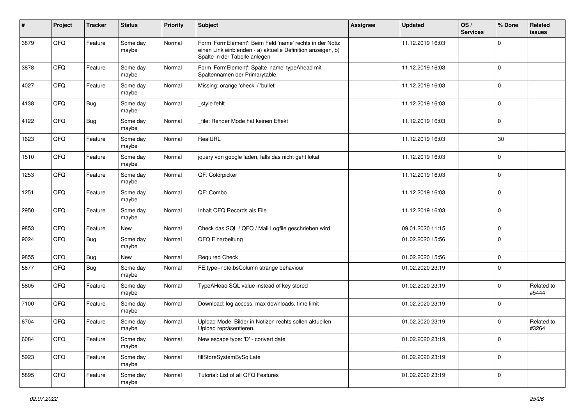| #    | Project | <b>Tracker</b> | <b>Status</b>     | <b>Priority</b> | <b>Subject</b>                                                                                                                                           | <b>Assignee</b> | <b>Updated</b>   | OS/<br><b>Services</b> | % Done      | Related<br><b>issues</b> |
|------|---------|----------------|-------------------|-----------------|----------------------------------------------------------------------------------------------------------------------------------------------------------|-----------------|------------------|------------------------|-------------|--------------------------|
| 3879 | QFQ     | Feature        | Some day<br>maybe | Normal          | Form 'FormElement': Beim Feld 'name' rechts in der Notiz<br>einen Link einblenden - a) aktuelle Definition anzeigen, b)<br>Spalte in der Tabelle anlegen |                 | 11.12.2019 16:03 |                        | $\mathbf 0$ |                          |
| 3878 | QFQ     | Feature        | Some day<br>maybe | Normal          | Form 'FormElement': Spalte 'name' typeAhead mit<br>Spaltennamen der Primarytable.                                                                        |                 | 11.12.2019 16:03 |                        | $\mathbf 0$ |                          |
| 4027 | QFQ     | Feature        | Some day<br>maybe | Normal          | Missing: orange 'check' / 'bullet'                                                                                                                       |                 | 11.12.2019 16:03 |                        | $\mathbf 0$ |                          |
| 4138 | QFQ     | <b>Bug</b>     | Some day<br>maybe | Normal          | _style fehlt                                                                                                                                             |                 | 11.12.2019 16:03 |                        | $\mathbf 0$ |                          |
| 4122 | QFQ     | Bug            | Some day<br>maybe | Normal          | file: Render Mode hat keinen Effekt                                                                                                                      |                 | 11.12.2019 16:03 |                        | $\mathbf 0$ |                          |
| 1623 | QFQ     | Feature        | Some day<br>maybe | Normal          | RealURL                                                                                                                                                  |                 | 11.12.2019 16:03 |                        | 30          |                          |
| 1510 | QFQ     | Feature        | Some day<br>maybe | Normal          | jquery von google laden, falls das nicht geht lokal                                                                                                      |                 | 11.12.2019 16:03 |                        | $\mathbf 0$ |                          |
| 1253 | QFQ     | Feature        | Some day<br>maybe | Normal          | QF: Colorpicker                                                                                                                                          |                 | 11.12.2019 16:03 |                        | $\mathbf 0$ |                          |
| 1251 | QFQ     | Feature        | Some day<br>maybe | Normal          | QF: Combo                                                                                                                                                |                 | 11.12.2019 16:03 |                        | $\mathbf 0$ |                          |
| 2950 | QFQ     | Feature        | Some day<br>maybe | Normal          | Inhalt QFQ Records als File                                                                                                                              |                 | 11.12.2019 16:03 |                        | $\mathbf 0$ |                          |
| 9853 | QFQ     | Feature        | New               | Normal          | Check das SQL / QFQ / Mail Logfile geschrieben wird                                                                                                      |                 | 09.01.2020 11:15 |                        | $\mathbf 0$ |                          |
| 9024 | QFQ     | Bug            | Some day<br>maybe | Normal          | QFQ Einarbeitung                                                                                                                                         |                 | 01.02.2020 15:56 |                        | $\mathbf 0$ |                          |
| 9855 | QFQ     | <b>Bug</b>     | New               | Normal          | <b>Required Check</b>                                                                                                                                    |                 | 01.02.2020 15:56 |                        | $\mathbf 0$ |                          |
| 5877 | QFQ     | <b>Bug</b>     | Some day<br>maybe | Normal          | FE.type=note:bsColumn strange behaviour                                                                                                                  |                 | 01.02.2020 23:19 |                        | $\mathbf 0$ |                          |
| 5805 | QFQ     | Feature        | Some day<br>maybe | Normal          | TypeAHead SQL value instead of key stored                                                                                                                |                 | 01.02.2020 23:19 |                        | $\mathbf 0$ | Related to<br>#5444      |
| 7100 | QFQ     | Feature        | Some day<br>maybe | Normal          | Download: log access, max downloads, time limit                                                                                                          |                 | 01.02.2020 23:19 |                        | $\mathbf 0$ |                          |
| 6704 | QFQ     | Feature        | Some day<br>maybe | Normal          | Upload Mode: Bilder in Notizen rechts sollen aktuellen<br>Upload repräsentieren.                                                                         |                 | 01.02.2020 23:19 |                        | $\mathbf 0$ | Related to<br>#3264      |
| 6084 | QFQ     | Feature        | Some day<br>maybe | Normal          | New escape type: 'D' - convert date                                                                                                                      |                 | 01.02.2020 23:19 |                        | $\mathbf 0$ |                          |
| 5923 | QFG     | Feature        | Some day<br>maybe | Normal          | fillStoreSystemBySqlLate                                                                                                                                 |                 | 01.02.2020 23:19 |                        | $\mathbf 0$ |                          |
| 5895 | QFQ     | Feature        | Some day<br>maybe | Normal          | Tutorial: List of all QFQ Features                                                                                                                       |                 | 01.02.2020 23:19 |                        | $\mathsf 0$ |                          |